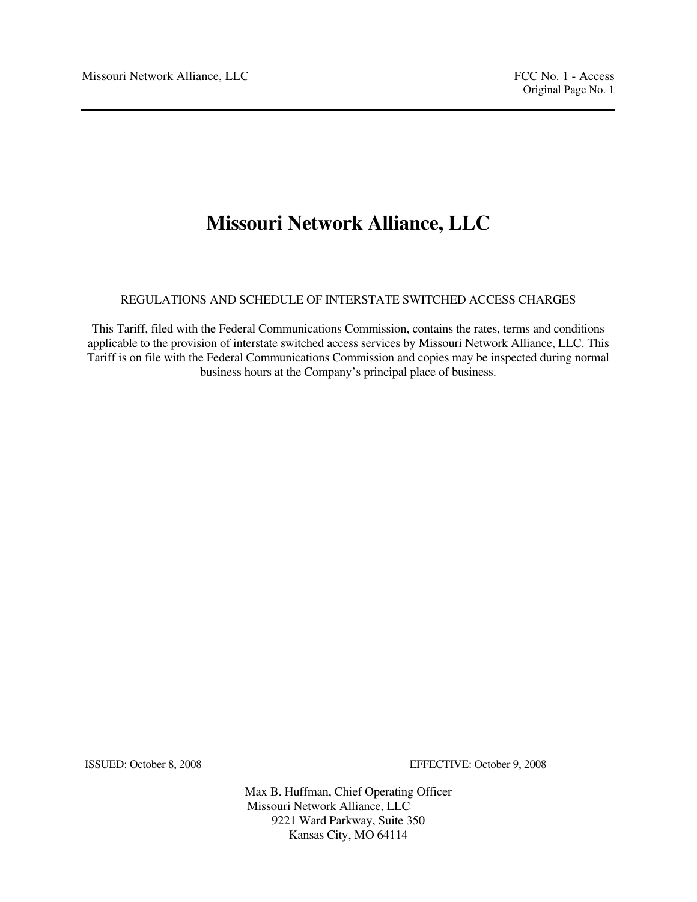# **Missouri Network Alliance, LLC**

REGULATIONS AND SCHEDULE OF INTERSTATE SWITCHED ACCESS CHARGES

This Tariff, filed with the Federal Communications Commission, contains the rates, terms and conditions applicable to the provision of interstate switched access services by Missouri Network Alliance, LLC. This Tariff is on file with the Federal Communications Commission and copies may be inspected during normal business hours at the Company's principal place of business.

ISSUED: October 8, 2008 EFFECTIVE: October 9, 2008

Max B. Huffman, Chief Operating Officer Missouri Network Alliance, LLC 9221 Ward Parkway, Suite 350 Kansas City, MO 64114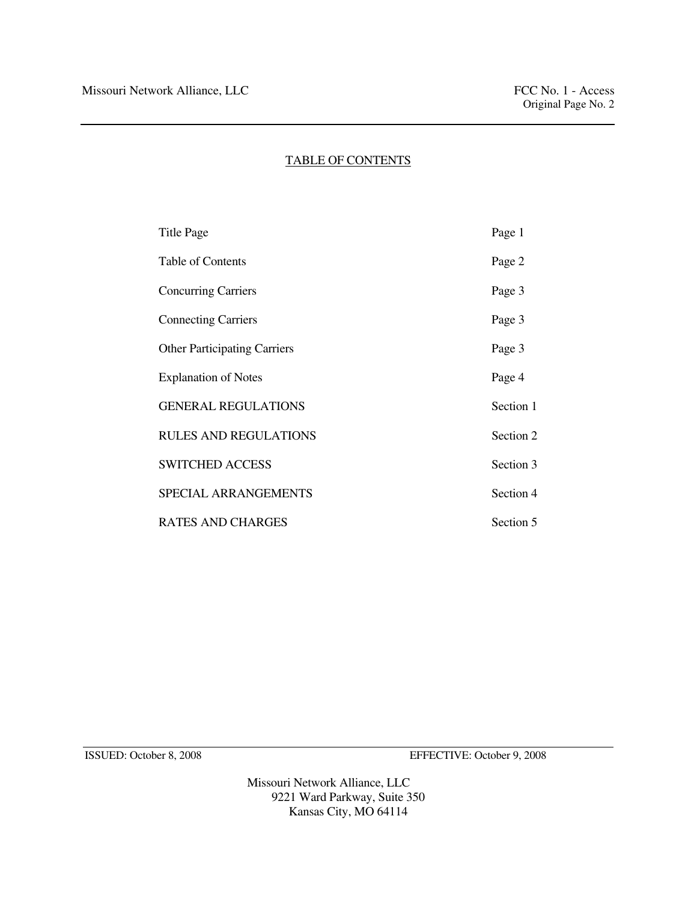# TABLE OF CONTENTS

| <b>Title Page</b>                   | Page 1    |
|-------------------------------------|-----------|
| Table of Contents                   | Page 2    |
| <b>Concurring Carriers</b>          | Page 3    |
| <b>Connecting Carriers</b>          | Page 3    |
| <b>Other Participating Carriers</b> | Page 3    |
| <b>Explanation of Notes</b>         | Page 4    |
| <b>GENERAL REGULATIONS</b>          | Section 1 |
| <b>RULES AND REGULATIONS</b>        | Section 2 |
| <b>SWITCHED ACCESS</b>              | Section 3 |
| SPECIAL ARRANGEMENTS                | Section 4 |
| <b>RATES AND CHARGES</b>            | Section 5 |

ISSUED: October 8, 2008 EFFECTIVE: October 9, 2008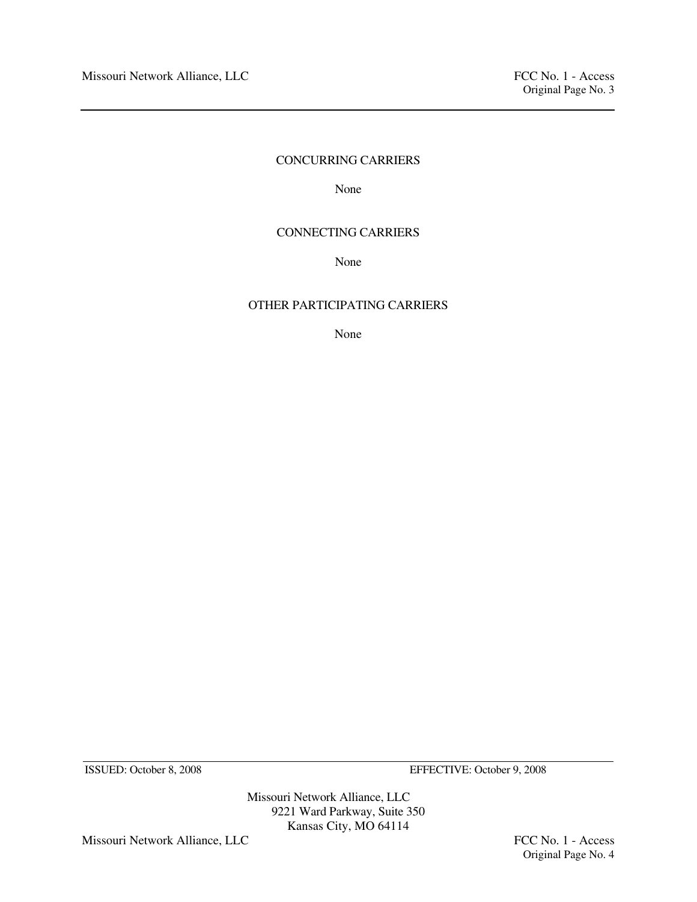# CONCURRING CARRIERS

None None

# CONNECTING CARRIERS

None None

# OTHER PARTICIPATING CARRIERS

None

ISSUED: October 8, 2008 EFFECTIVE: October 9, 2008

Missouri Network Alliance, LLC 9221 Ward Parkway, Suite 350 Kansas City, MO 64114

Missouri Network Alliance, LLC FCC No. 1 - Access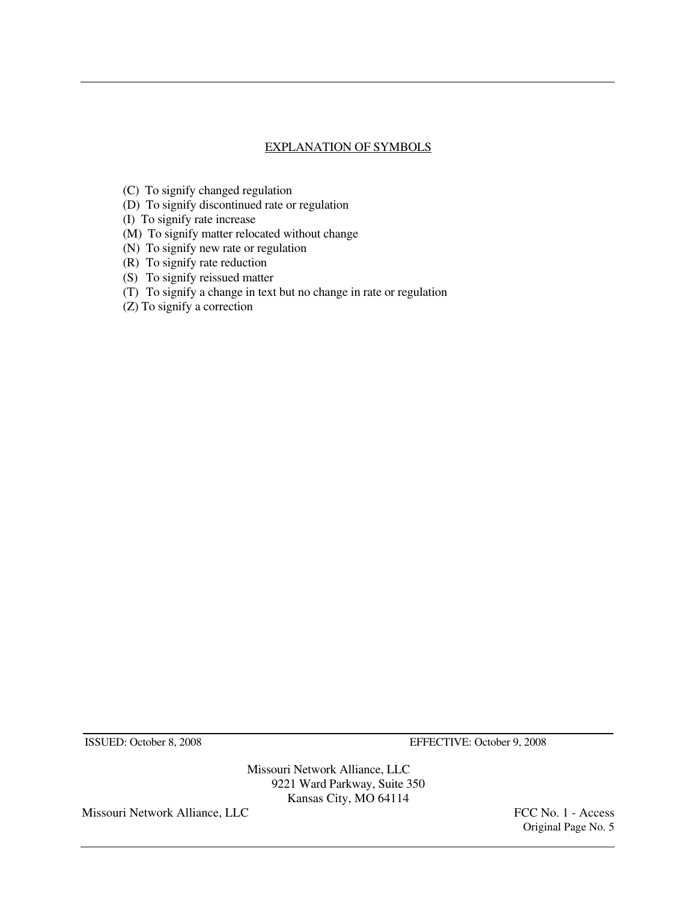# EXPLANATION OF SYMBOLS

- (C) To signify changed regulation
- (D) To signify discontinued rate or regulation
- (I) To signify rate increase
- (M) To signify matter relocated without change
- (N) To signify new rate or regulation
- (R) To signify rate reduction
- (S) To signify reissued matter
- (T) To signify a change in text but no change in rate or regulation
- (Z) To signify a correction

ISSUED: October 8, 2008 EFFECTIVE: October 9, 2008

Missouri Network Alliance, LLC 9221 Ward Parkway, Suite 350 Kansas City, MO 64114

Missouri Network Alliance, LLC FCC No. 1 - Access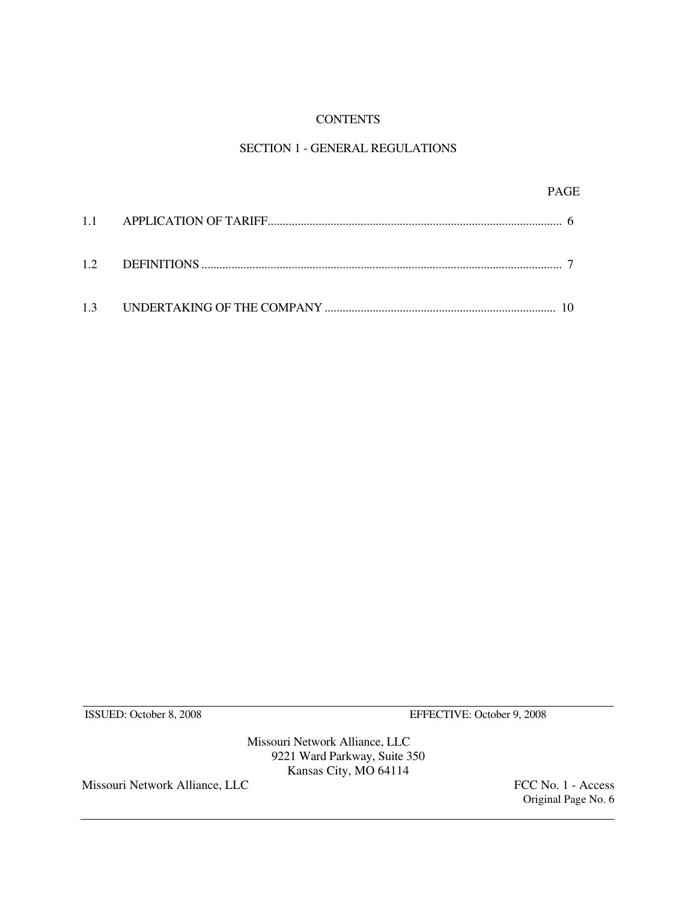# **CONTENTS**

# SECTION 1 - GENERAL REGULATIONS

|  | PAGE |
|--|------|
|  |      |
|  |      |
|  |      |

ISSUED: October 8, 2008 EFFECTIVE: October 9, 2008

Missouri Network Alliance, LLC 9221 Ward Parkway, Suite 350 Kansas City, MO 64114

Missouri Network Alliance, LLC FCC No. 1 - Access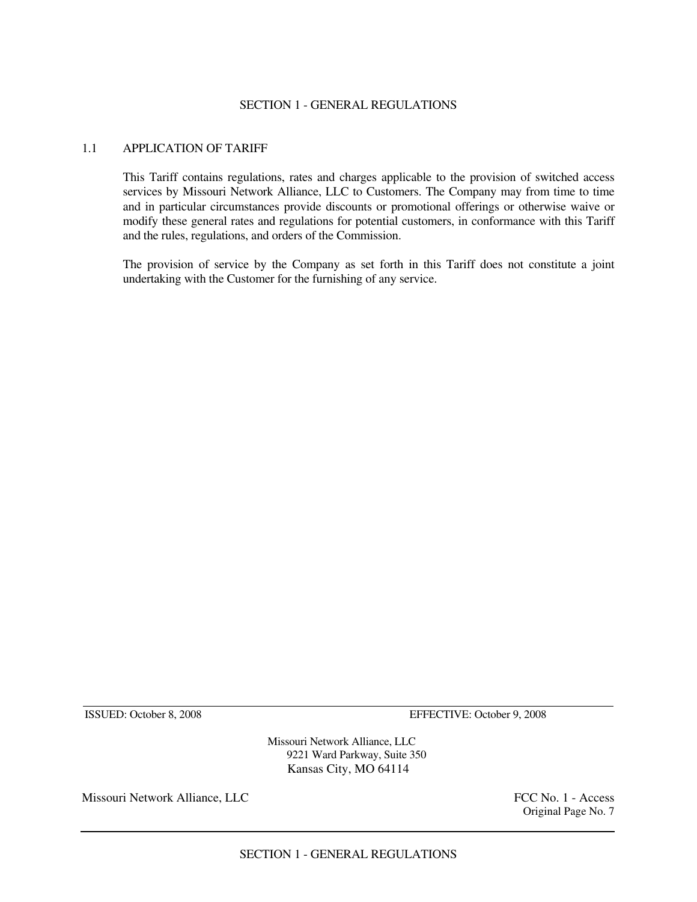#### SECTION 1 - GENERAL REGULATIONS

# 1.1 APPLICATION OF TARIFF

 This Tariff contains regulations, rates and charges applicable to the provision of switched access services by Missouri Network Alliance, LLC to Customers. The Company may from time to time and in particular circumstances provide discounts or promotional offerings or otherwise waive or modify these general rates and regulations for potential customers, in conformance with this Tariff and the rules, regulations, and orders of the Commission.

 The provision of service by the Company as set forth in this Tariff does not constitute a joint undertaking with the Customer for the furnishing of any service.

ISSUED: October 8, 2008 EFFECTIVE: October 9, 2008

Missouri Network Alliance, LLC 9221 Ward Parkway, Suite 350 Kansas City, MO 64114

Missouri Network Alliance, LLC **FCC No. 1** - Access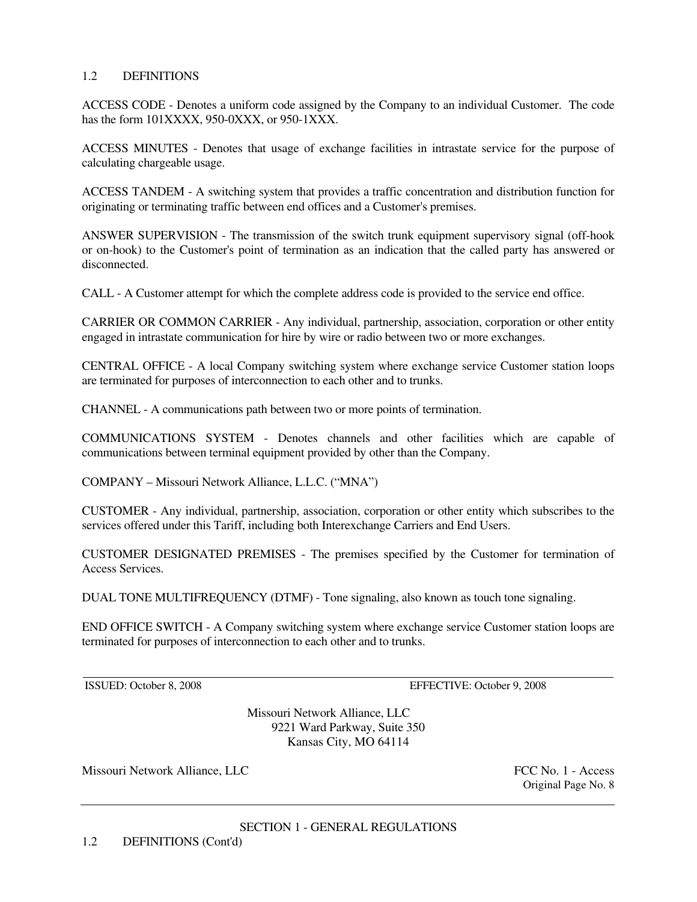# 1.2 DEFINITIONS

ACCESS CODE - Denotes a uniform code assigned by the Company to an individual Customer. The code has the form 101XXXX, 950-0XXX, or 950-1XXX.

ACCESS MINUTES - Denotes that usage of exchange facilities in intrastate service for the purpose of calculating chargeable usage.

ACCESS TANDEM - A switching system that provides a traffic concentration and distribution function for originating or terminating traffic between end offices and a Customer's premises.

ANSWER SUPERVISION - The transmission of the switch trunk equipment supervisory signal (off-hook or on-hook) to the Customer's point of termination as an indication that the called party has answered or disconnected.

CALL - A Customer attempt for which the complete address code is provided to the service end office.

CARRIER OR COMMON CARRIER - Any individual, partnership, association, corporation or other entity engaged in intrastate communication for hire by wire or radio between two or more exchanges.

CENTRAL OFFICE - A local Company switching system where exchange service Customer station loops are terminated for purposes of interconnection to each other and to trunks.

CHANNEL - A communications path between two or more points of termination.

COMMUNICATIONS SYSTEM - Denotes channels and other facilities which are capable of communications between terminal equipment provided by other than the Company.

COMPANY – Missouri Network Alliance, L.L.C. ("MNA")

CUSTOMER - Any individual, partnership, association, corporation or other entity which subscribes to the services offered under this Tariff, including both Interexchange Carriers and End Users.

CUSTOMER DESIGNATED PREMISES - The premises specified by the Customer for termination of Access Services.

DUAL TONE MULTIFREQUENCY (DTMF) - Tone signaling, also known as touch tone signaling.

END OFFICE SWITCH - A Company switching system where exchange service Customer station loops are terminated for purposes of interconnection to each other and to trunks.

ISSUED: October 8, 2008 EFFECTIVE: October 9, 2008

Missouri Network Alliance, LLC 9221 Ward Parkway, Suite 350 Kansas City, MO 64114

Missouri Network Alliance, LLC **FCC No. 1 - Access**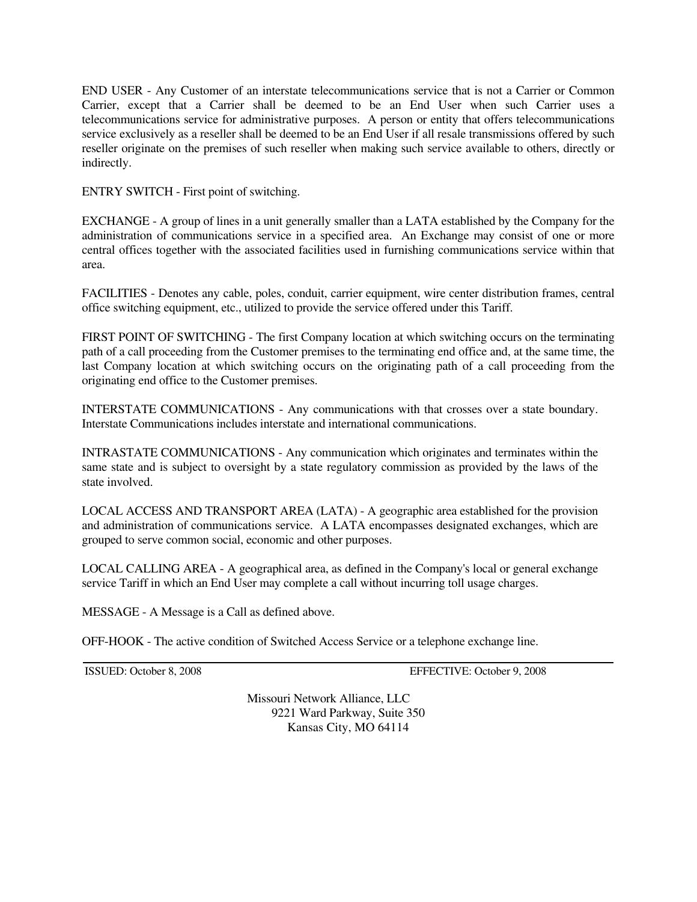END USER - Any Customer of an interstate telecommunications service that is not a Carrier or Common Carrier, except that a Carrier shall be deemed to be an End User when such Carrier uses a telecommunications service for administrative purposes. A person or entity that offers telecommunications service exclusively as a reseller shall be deemed to be an End User if all resale transmissions offered by such reseller originate on the premises of such reseller when making such service available to others, directly or indirectly.

ENTRY SWITCH - First point of switching.

EXCHANGE - A group of lines in a unit generally smaller than a LATA established by the Company for the administration of communications service in a specified area. An Exchange may consist of one or more central offices together with the associated facilities used in furnishing communications service within that area.

FACILITIES - Denotes any cable, poles, conduit, carrier equipment, wire center distribution frames, central office switching equipment, etc., utilized to provide the service offered under this Tariff.

FIRST POINT OF SWITCHING - The first Company location at which switching occurs on the terminating path of a call proceeding from the Customer premises to the terminating end office and, at the same time, the last Company location at which switching occurs on the originating path of a call proceeding from the originating end office to the Customer premises.

INTERSTATE COMMUNICATIONS - Any communications with that crosses over a state boundary. Interstate Communications includes interstate and international communications.

INTRASTATE COMMUNICATIONS - Any communication which originates and terminates within the same state and is subject to oversight by a state regulatory commission as provided by the laws of the state involved.

LOCAL ACCESS AND TRANSPORT AREA (LATA) - A geographic area established for the provision and administration of communications service. A LATA encompasses designated exchanges, which are grouped to serve common social, economic and other purposes.

LOCAL CALLING AREA - A geographical area, as defined in the Company's local or general exchange service Tariff in which an End User may complete a call without incurring toll usage charges.

MESSAGE - A Message is a Call as defined above.

OFF-HOOK - The active condition of Switched Access Service or a telephone exchange line.

ISSUED: October 8, 2008 EFFECTIVE: October 9, 2008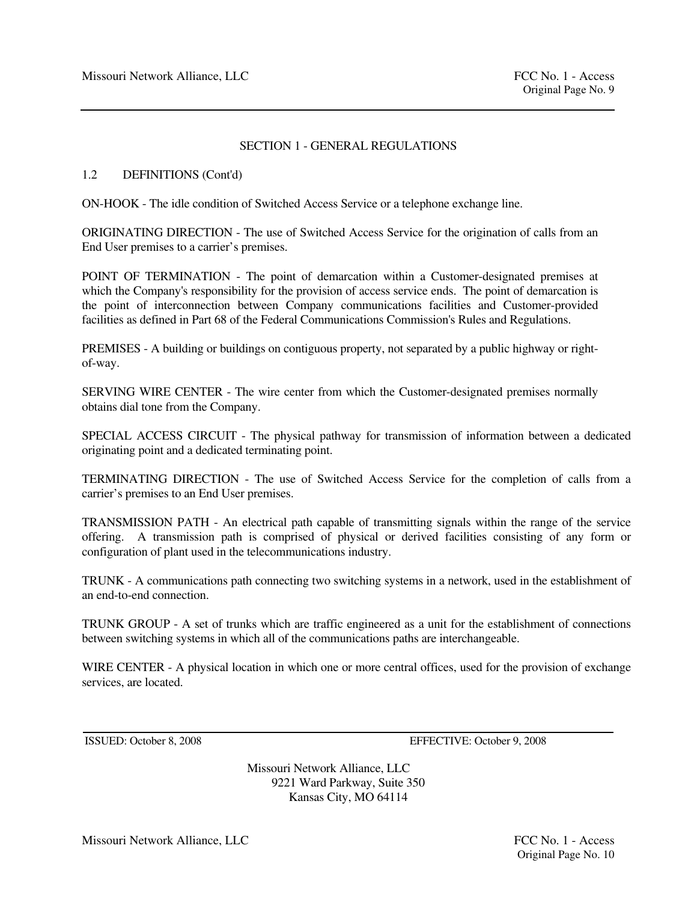# SECTION 1 - GENERAL REGULATIONS

# 1.2 DEFINITIONS (Cont'd)

ON-HOOK - The idle condition of Switched Access Service or a telephone exchange line.

ORIGINATING DIRECTION - The use of Switched Access Service for the origination of calls from an End User premises to a carrier's premises.

POINT OF TERMINATION - The point of demarcation within a Customer-designated premises at which the Company's responsibility for the provision of access service ends. The point of demarcation is the point of interconnection between Company communications facilities and Customer-provided facilities as defined in Part 68 of the Federal Communications Commission's Rules and Regulations.

PREMISES - A building or buildings on contiguous property, not separated by a public highway or rightof-way.

SERVING WIRE CENTER - The wire center from which the Customer-designated premises normally obtains dial tone from the Company.

SPECIAL ACCESS CIRCUIT - The physical pathway for transmission of information between a dedicated originating point and a dedicated terminating point.

TERMINATING DIRECTION - The use of Switched Access Service for the completion of calls from a carrier's premises to an End User premises.

TRANSMISSION PATH - An electrical path capable of transmitting signals within the range of the service offering. A transmission path is comprised of physical or derived facilities consisting of any form or configuration of plant used in the telecommunications industry.

TRUNK - A communications path connecting two switching systems in a network, used in the establishment of an end-to-end connection.

TRUNK GROUP - A set of trunks which are traffic engineered as a unit for the establishment of connections between switching systems in which all of the communications paths are interchangeable.

WIRE CENTER - A physical location in which one or more central offices, used for the provision of exchange services, are located.

ISSUED: October 8, 2008 EFFECTIVE: October 9, 2008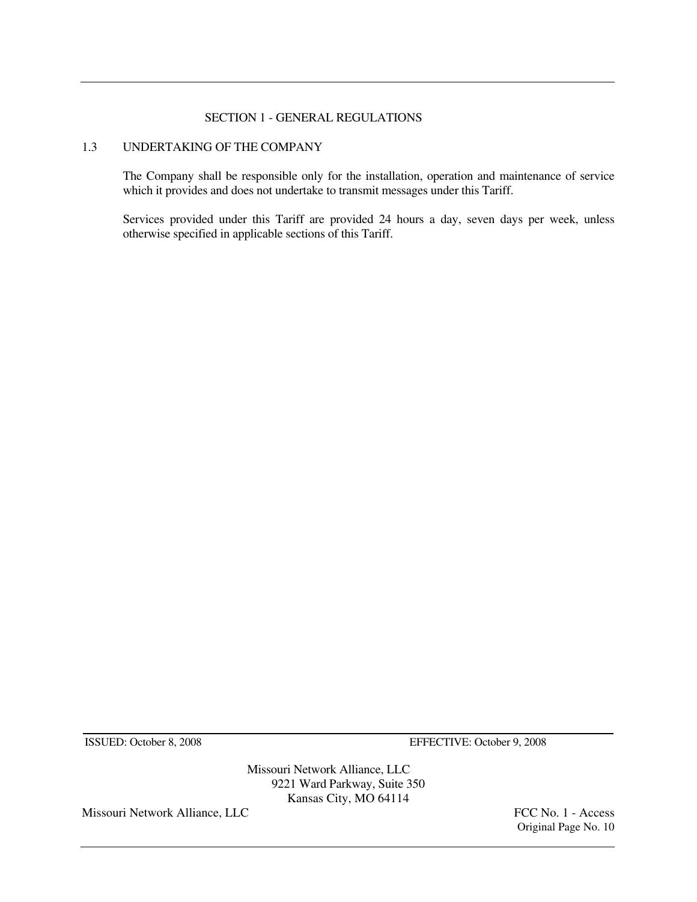#### SECTION 1 - GENERAL REGULATIONS

# 1.3 UNDERTAKING OF THE COMPANY

 The Company shall be responsible only for the installation, operation and maintenance of service which it provides and does not undertake to transmit messages under this Tariff.

 Services provided under this Tariff are provided 24 hours a day, seven days per week, unless otherwise specified in applicable sections of this Tariff.

ISSUED: October 8, 2008 EFFECTIVE: October 9, 2008

Missouri Network Alliance, LLC 9221 Ward Parkway, Suite 350 Kansas City, MO 64114

Missouri Network Alliance, LLC FCC No. 1 - Access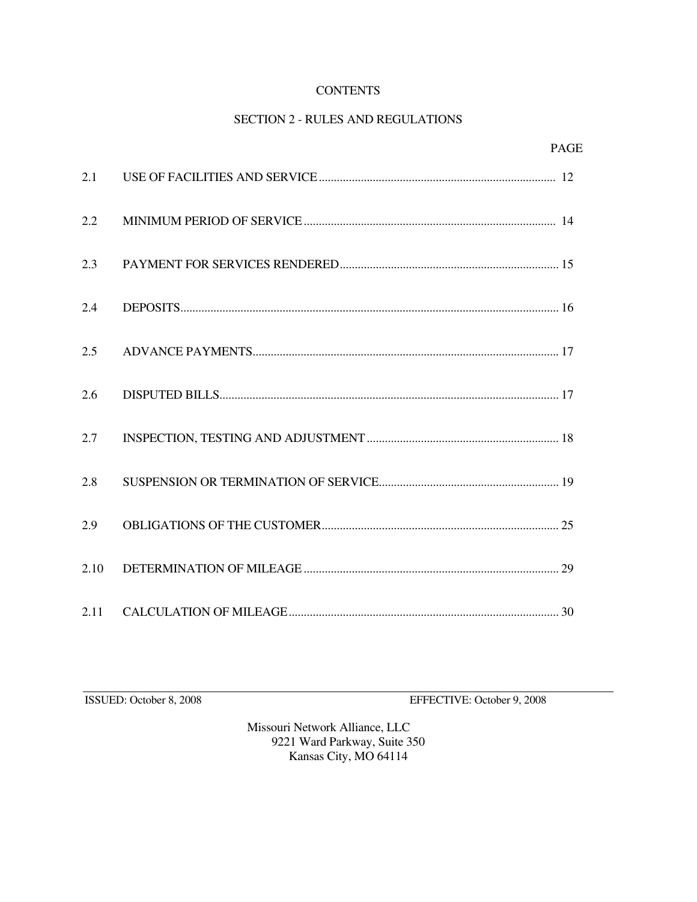# **CONTENTS**

# SECTION 2 - RULES AND REGULATIONS

|      | <b>PAGE</b> |  |
|------|-------------|--|
| 2.1  |             |  |
| 2.2  |             |  |
| 2.3  |             |  |
| 2.4  |             |  |
| 2.5  |             |  |
| 2.6  |             |  |
| 2.7  |             |  |
| 2.8  |             |  |
| 2.9  |             |  |
| 2.10 |             |  |
| 2.11 |             |  |

ISSUED: October 8, 2008 EFFECTIVE: October 9, 2008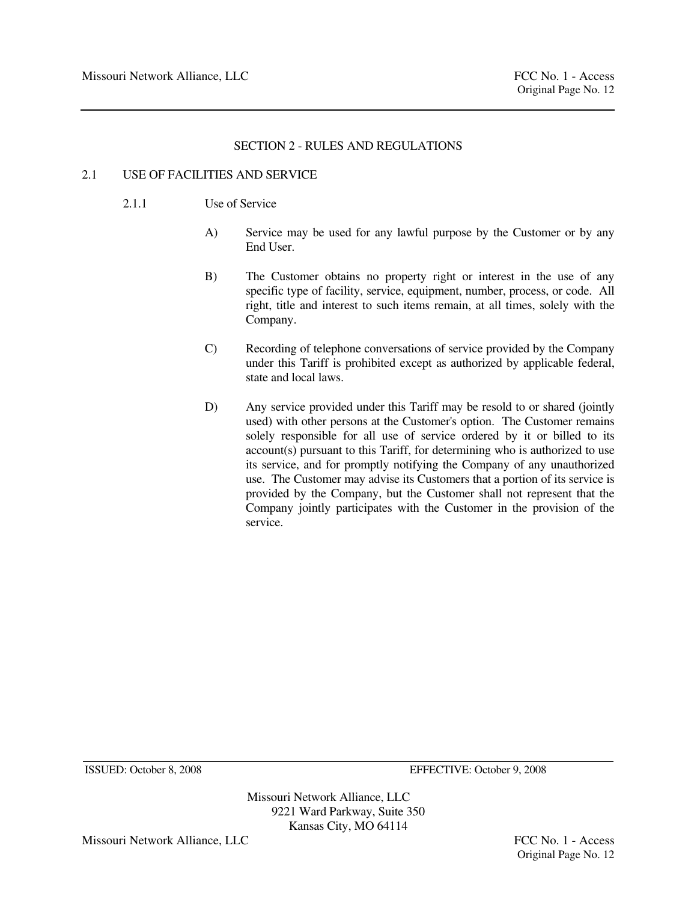# 2.1 USE OF FACILITIES AND SERVICE

- 2.1.1 Use of Service
	- A) Service may be used for any lawful purpose by the Customer or by any End User.
	- B) The Customer obtains no property right or interest in the use of any specific type of facility, service, equipment, number, process, or code. All right, title and interest to such items remain, at all times, solely with the Company.
	- C) Recording of telephone conversations of service provided by the Company under this Tariff is prohibited except as authorized by applicable federal, state and local laws.
	- D) Any service provided under this Tariff may be resold to or shared (jointly used) with other persons at the Customer's option. The Customer remains solely responsible for all use of service ordered by it or billed to its account(s) pursuant to this Tariff, for determining who is authorized to use its service, and for promptly notifying the Company of any unauthorized use. The Customer may advise its Customers that a portion of its service is provided by the Company, but the Customer shall not represent that the Company jointly participates with the Customer in the provision of the service.

Missouri Network Alliance, LLC 9221 Ward Parkway, Suite 350 Kansas City, MO 64114

Missouri Network Alliance, LLC **FCC No. 1** - Access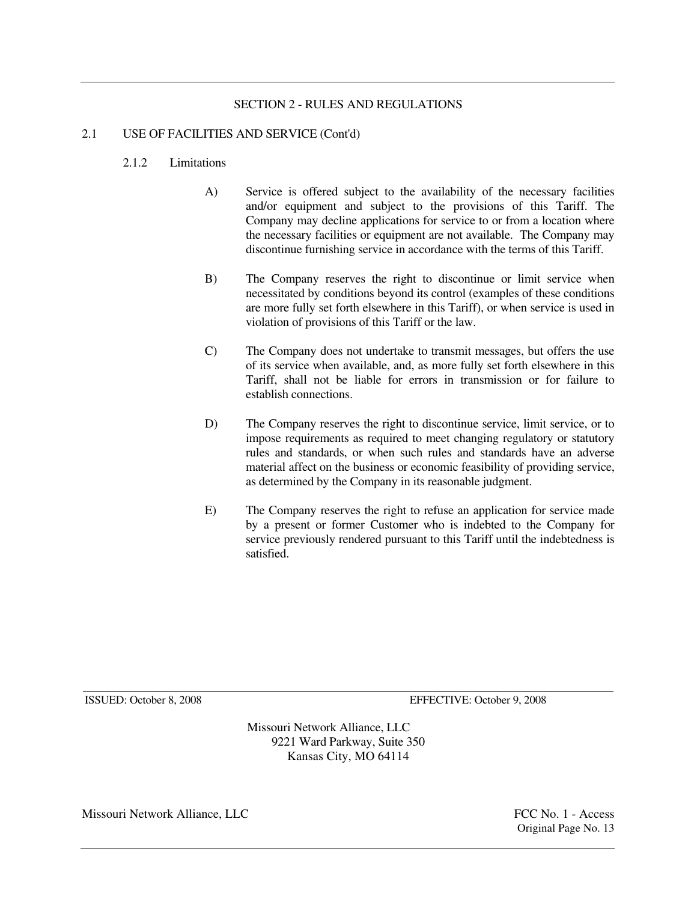# 2.1 USE OF FACILITIES AND SERVICE (Cont'd)

# 2.1.2 Limitations

- A) Service is offered subject to the availability of the necessary facilities and/or equipment and subject to the provisions of this Tariff. The Company may decline applications for service to or from a location where the necessary facilities or equipment are not available. The Company may discontinue furnishing service in accordance with the terms of this Tariff.
- B) The Company reserves the right to discontinue or limit service when necessitated by conditions beyond its control (examples of these conditions are more fully set forth elsewhere in this Tariff), or when service is used in violation of provisions of this Tariff or the law.
- C) The Company does not undertake to transmit messages, but offers the use of its service when available, and, as more fully set forth elsewhere in this Tariff, shall not be liable for errors in transmission or for failure to establish connections.
- D) The Company reserves the right to discontinue service, limit service, or to impose requirements as required to meet changing regulatory or statutory rules and standards, or when such rules and standards have an adverse material affect on the business or economic feasibility of providing service, as determined by the Company in its reasonable judgment.
- E) The Company reserves the right to refuse an application for service made by a present or former Customer who is indebted to the Company for service previously rendered pursuant to this Tariff until the indebtedness is satisfied.

ISSUED: October 8, 2008 EFFECTIVE: October 9, 2008

Missouri Network Alliance, LLC 9221 Ward Parkway, Suite 350 Kansas City, MO 64114

Missouri Network Alliance, LLC **FCC No. 1** - Access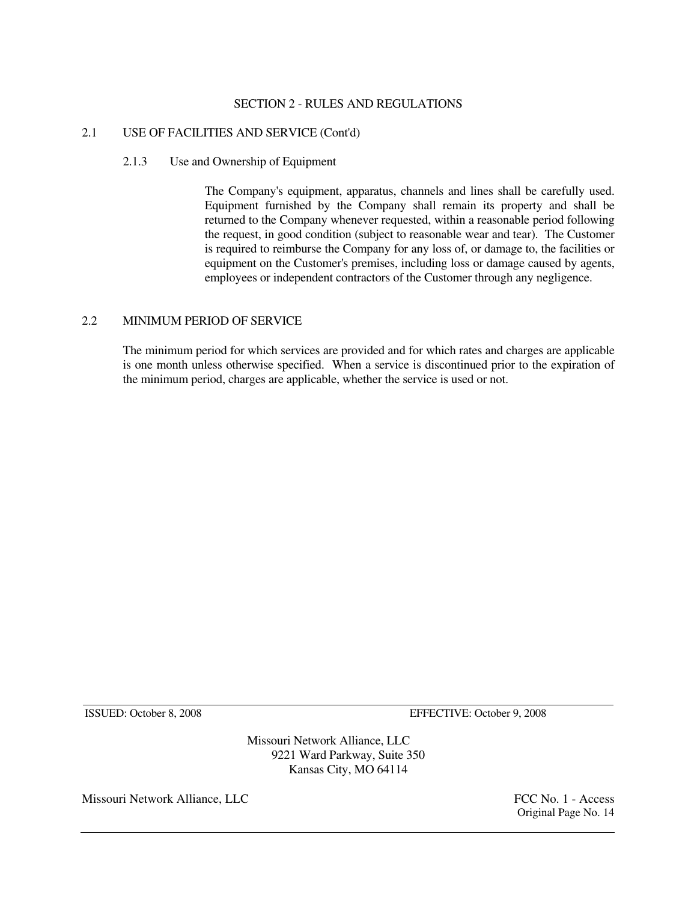# 2.1 USE OF FACILITIES AND SERVICE (Cont'd)

# 2.1.3 Use and Ownership of Equipment

 The Company's equipment, apparatus, channels and lines shall be carefully used. Equipment furnished by the Company shall remain its property and shall be returned to the Company whenever requested, within a reasonable period following the request, in good condition (subject to reasonable wear and tear). The Customer is required to reimburse the Company for any loss of, or damage to, the facilities or equipment on the Customer's premises, including loss or damage caused by agents, employees or independent contractors of the Customer through any negligence.

# 2.2 MINIMUM PERIOD OF SERVICE

 The minimum period for which services are provided and for which rates and charges are applicable is one month unless otherwise specified. When a service is discontinued prior to the expiration of the minimum period, charges are applicable, whether the service is used or not.

ISSUED: October 8, 2008 EFFECTIVE: October 9, 2008

Missouri Network Alliance, LLC 9221 Ward Parkway, Suite 350 Kansas City, MO 64114

Missouri Network Alliance, LLC **FCC No. 1** - Access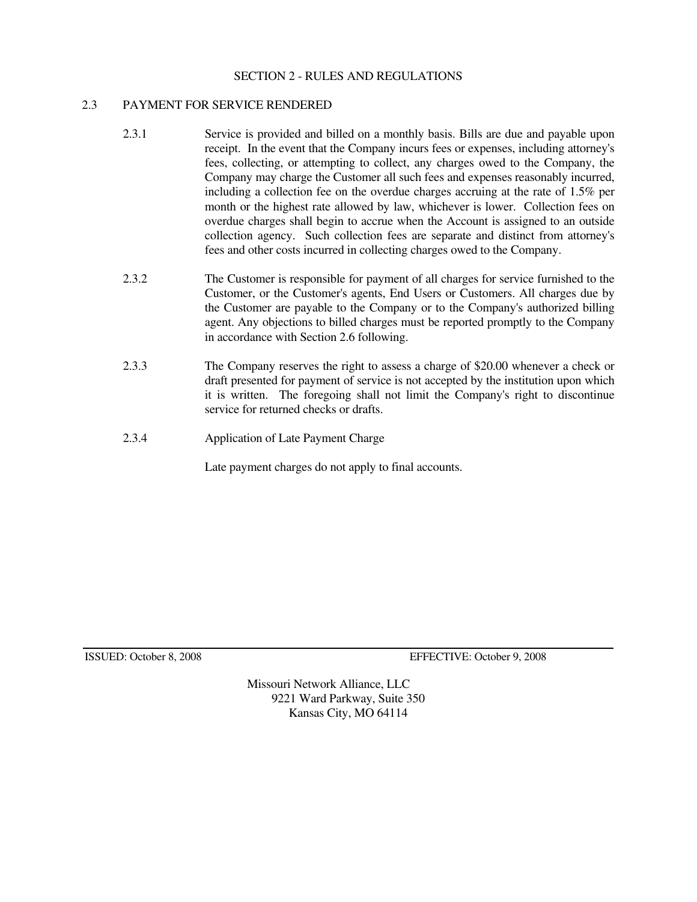# 2.3 PAYMENT FOR SERVICE RENDERED

- 2.3.1 Service is provided and billed on a monthly basis. Bills are due and payable upon receipt. In the event that the Company incurs fees or expenses, including attorney's fees, collecting, or attempting to collect, any charges owed to the Company, the Company may charge the Customer all such fees and expenses reasonably incurred, including a collection fee on the overdue charges accruing at the rate of 1.5% per month or the highest rate allowed by law, whichever is lower. Collection fees on overdue charges shall begin to accrue when the Account is assigned to an outside collection agency. Such collection fees are separate and distinct from attorney's fees and other costs incurred in collecting charges owed to the Company.
- 2.3.2 The Customer is responsible for payment of all charges for service furnished to the Customer, or the Customer's agents, End Users or Customers. All charges due by the Customer are payable to the Company or to the Company's authorized billing agent. Any objections to billed charges must be reported promptly to the Company in accordance with Section 2.6 following.
- 2.3.3 The Company reserves the right to assess a charge of \$20.00 whenever a check or draft presented for payment of service is not accepted by the institution upon which it is written. The foregoing shall not limit the Company's right to discontinue service for returned checks or drafts.
- 2.3.4 Application of Late Payment Charge

Late payment charges do not apply to final accounts.

ISSUED: October 8, 2008 EFFECTIVE: October 9, 2008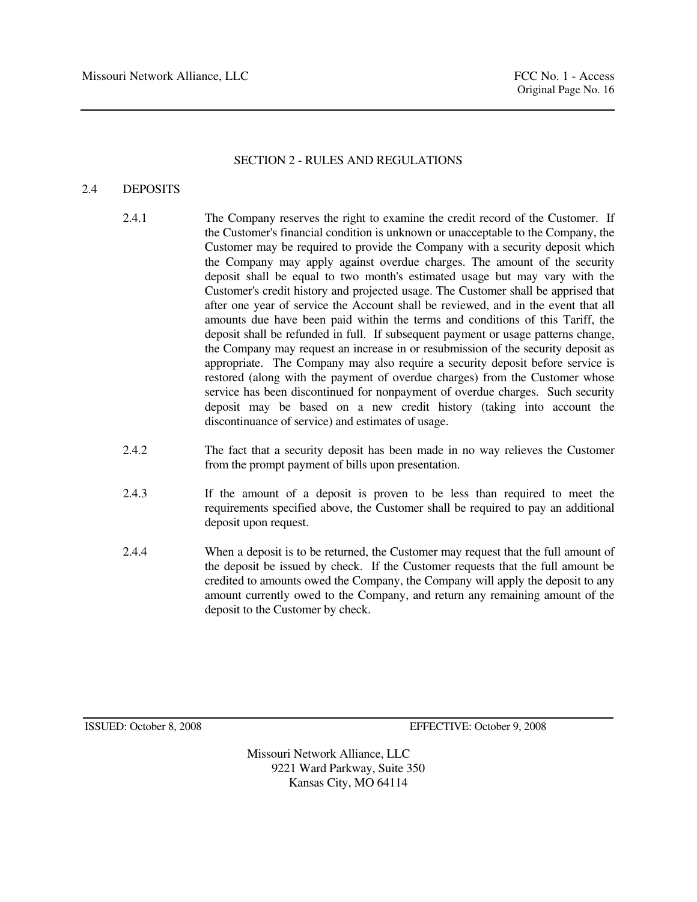# 2.4 DEPOSITS

- 2.4.1 The Company reserves the right to examine the credit record of the Customer. If the Customer's financial condition is unknown or unacceptable to the Company, the Customer may be required to provide the Company with a security deposit which the Company may apply against overdue charges. The amount of the security deposit shall be equal to two month's estimated usage but may vary with the Customer's credit history and projected usage. The Customer shall be apprised that after one year of service the Account shall be reviewed, and in the event that all amounts due have been paid within the terms and conditions of this Tariff, the deposit shall be refunded in full. If subsequent payment or usage patterns change, the Company may request an increase in or resubmission of the security deposit as appropriate. The Company may also require a security deposit before service is restored (along with the payment of overdue charges) from the Customer whose service has been discontinued for nonpayment of overdue charges. Such security deposit may be based on a new credit history (taking into account the discontinuance of service) and estimates of usage.
- 2.4.2 The fact that a security deposit has been made in no way relieves the Customer from the prompt payment of bills upon presentation.
- 2.4.3 If the amount of a deposit is proven to be less than required to meet the requirements specified above, the Customer shall be required to pay an additional deposit upon request.
- 2.4.4 When a deposit is to be returned, the Customer may request that the full amount of the deposit be issued by check. If the Customer requests that the full amount be credited to amounts owed the Company, the Company will apply the deposit to any amount currently owed to the Company, and return any remaining amount of the deposit to the Customer by check.

ISSUED: October 8, 2008 EFFECTIVE: October 9, 2008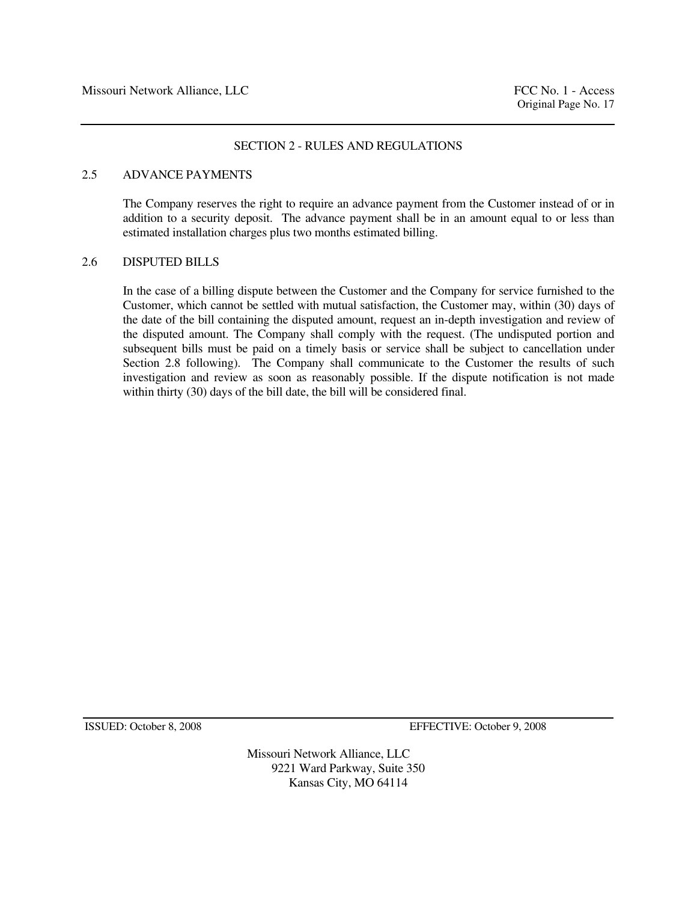# 2.5 ADVANCE PAYMENTS

 The Company reserves the right to require an advance payment from the Customer instead of or in addition to a security deposit. The advance payment shall be in an amount equal to or less than estimated installation charges plus two months estimated billing.

#### 2.6 DISPUTED BILLS

 In the case of a billing dispute between the Customer and the Company for service furnished to the Customer, which cannot be settled with mutual satisfaction, the Customer may, within (30) days of the date of the bill containing the disputed amount, request an in-depth investigation and review of the disputed amount. The Company shall comply with the request. (The undisputed portion and subsequent bills must be paid on a timely basis or service shall be subject to cancellation under Section 2.8 following). The Company shall communicate to the Customer the results of such investigation and review as soon as reasonably possible. If the dispute notification is not made within thirty (30) days of the bill date, the bill will be considered final.

ISSUED: October 8, 2008 EFFECTIVE: October 9, 2008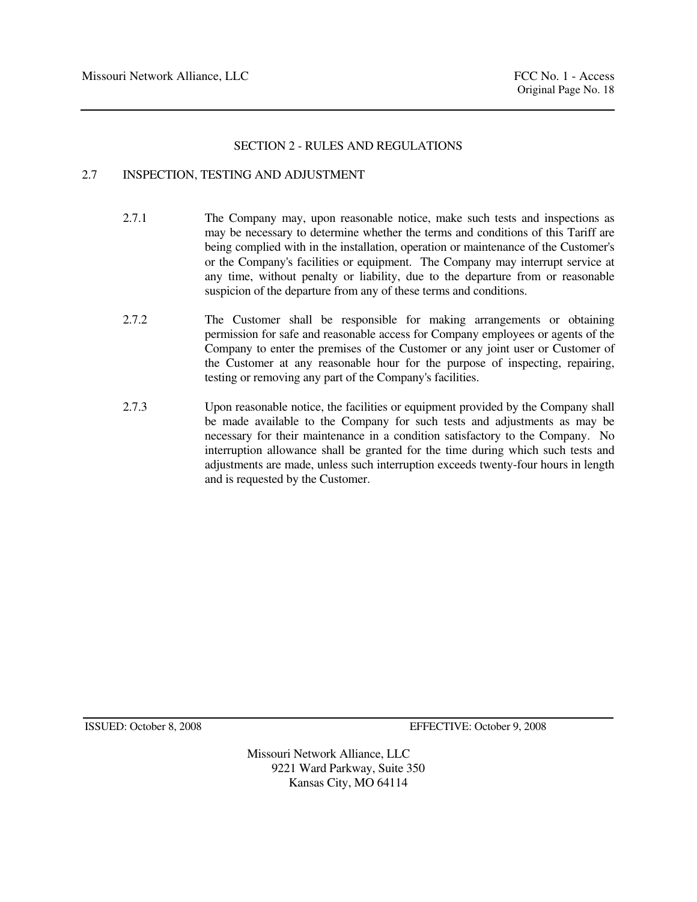# 2.7 INSPECTION, TESTING AND ADJUSTMENT

- 2.7.1 The Company may, upon reasonable notice, make such tests and inspections as may be necessary to determine whether the terms and conditions of this Tariff are being complied with in the installation, operation or maintenance of the Customer's or the Company's facilities or equipment. The Company may interrupt service at any time, without penalty or liability, due to the departure from or reasonable suspicion of the departure from any of these terms and conditions.
- 2.7.2 The Customer shall be responsible for making arrangements or obtaining permission for safe and reasonable access for Company employees or agents of the Company to enter the premises of the Customer or any joint user or Customer of the Customer at any reasonable hour for the purpose of inspecting, repairing, testing or removing any part of the Company's facilities.
- 2.7.3 Upon reasonable notice, the facilities or equipment provided by the Company shall be made available to the Company for such tests and adjustments as may be necessary for their maintenance in a condition satisfactory to the Company. No interruption allowance shall be granted for the time during which such tests and adjustments are made, unless such interruption exceeds twenty-four hours in length and is requested by the Customer.

ISSUED: October 8, 2008 EFFECTIVE: October 9, 2008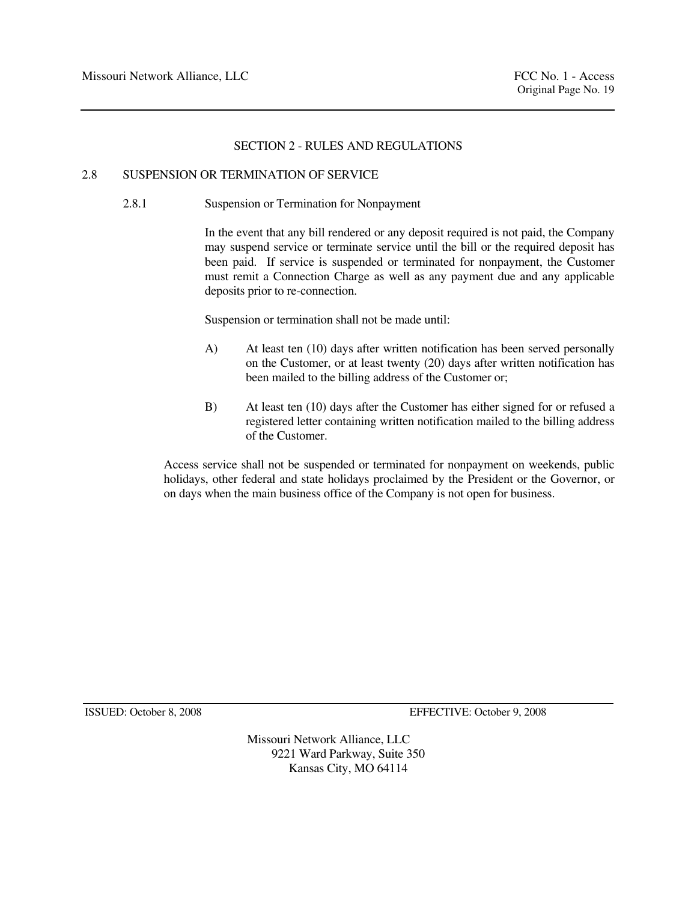# 2.8 SUSPENSION OR TERMINATION OF SERVICE

# 2.8.1 Suspension or Termination for Nonpayment

 In the event that any bill rendered or any deposit required is not paid, the Company may suspend service or terminate service until the bill or the required deposit has been paid. If service is suspended or terminated for nonpayment, the Customer must remit a Connection Charge as well as any payment due and any applicable deposits prior to re-connection.

Suspension or termination shall not be made until:

- A) At least ten (10) days after written notification has been served personally on the Customer, or at least twenty (20) days after written notification has been mailed to the billing address of the Customer or;
- B) At least ten (10) days after the Customer has either signed for or refused a registered letter containing written notification mailed to the billing address of the Customer.

 Access service shall not be suspended or terminated for nonpayment on weekends, public holidays, other federal and state holidays proclaimed by the President or the Governor, or on days when the main business office of the Company is not open for business.

ISSUED: October 8, 2008 EFFECTIVE: October 9, 2008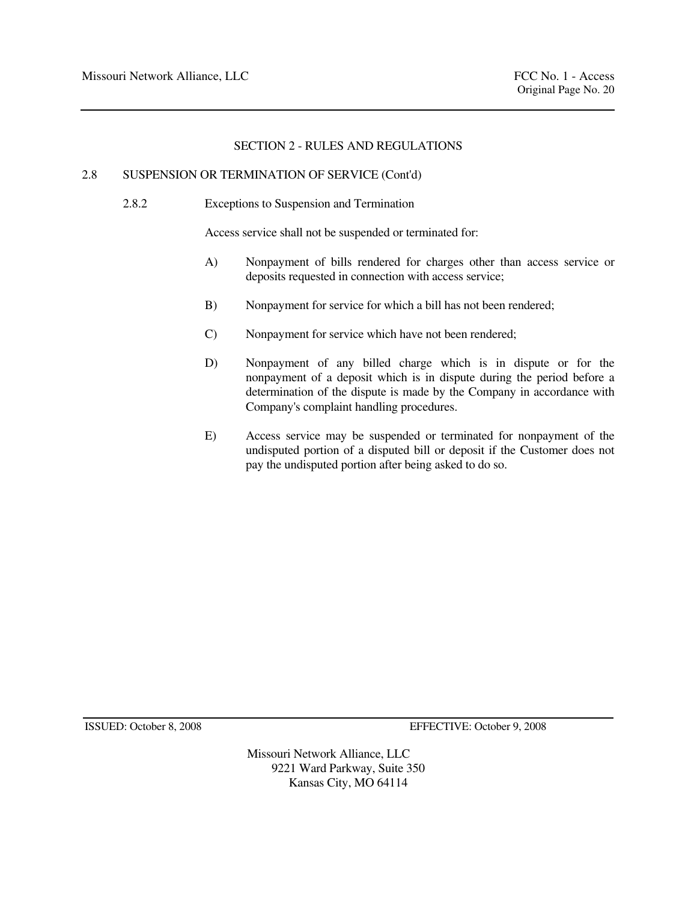#### 2.8 SUSPENSION OR TERMINATION OF SERVICE (Cont'd)

2.8.2 Exceptions to Suspension and Termination

Access service shall not be suspended or terminated for:

- A) Nonpayment of bills rendered for charges other than access service or deposits requested in connection with access service;
- B) Nonpayment for service for which a bill has not been rendered;
- C) Nonpayment for service which have not been rendered;
- D) Nonpayment of any billed charge which is in dispute or for the nonpayment of a deposit which is in dispute during the period before a determination of the dispute is made by the Company in accordance with Company's complaint handling procedures.
- E) Access service may be suspended or terminated for nonpayment of the undisputed portion of a disputed bill or deposit if the Customer does not pay the undisputed portion after being asked to do so.

ISSUED: October 8, 2008 EFFECTIVE: October 9, 2008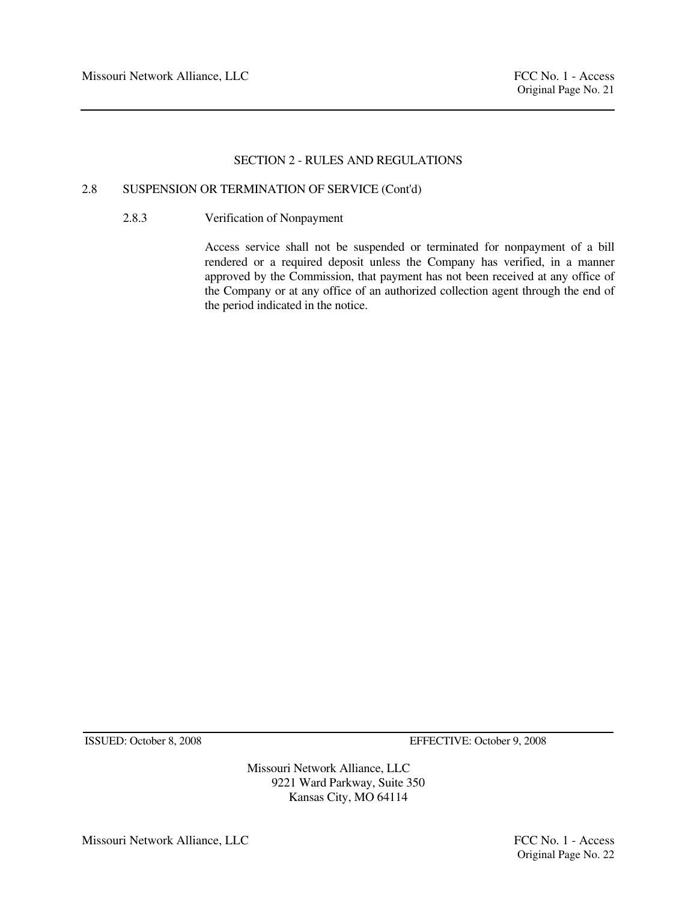# 2.8 SUSPENSION OR TERMINATION OF SERVICE (Cont'd)

2.8.3 Verification of Nonpayment

 Access service shall not be suspended or terminated for nonpayment of a bill rendered or a required deposit unless the Company has verified, in a manner approved by the Commission, that payment has not been received at any office of the Company or at any office of an authorized collection agent through the end of the period indicated in the notice.

ISSUED: October 8, 2008 EFFECTIVE: October 9, 2008

Missouri Network Alliance, LLC 9221 Ward Parkway, Suite 350 Kansas City, MO 64114

Missouri Network Alliance, LLC FCC No. 1 - Access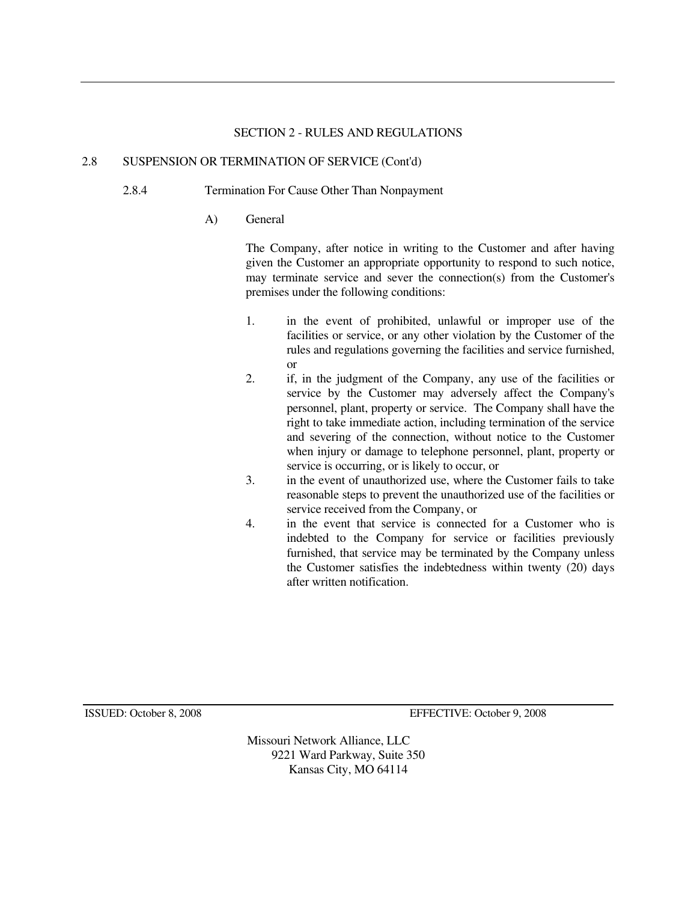#### 2.8 SUSPENSION OR TERMINATION OF SERVICE (Cont'd)

- 2.8.4 Termination For Cause Other Than Nonpayment
	- A) General

 The Company, after notice in writing to the Customer and after having given the Customer an appropriate opportunity to respond to such notice, may terminate service and sever the connection(s) from the Customer's premises under the following conditions:

- 1. in the event of prohibited, unlawful or improper use of the facilities or service, or any other violation by the Customer of the rules and regulations governing the facilities and service furnished, or
- 2. if, in the judgment of the Company, any use of the facilities or service by the Customer may adversely affect the Company's personnel, plant, property or service. The Company shall have the right to take immediate action, including termination of the service and severing of the connection, without notice to the Customer when injury or damage to telephone personnel, plant, property or service is occurring, or is likely to occur, or
- 3. in the event of unauthorized use, where the Customer fails to take reasonable steps to prevent the unauthorized use of the facilities or service received from the Company, or
- 4. in the event that service is connected for a Customer who is indebted to the Company for service or facilities previously furnished, that service may be terminated by the Company unless the Customer satisfies the indebtedness within twenty (20) days after written notification.

ISSUED: October 8, 2008 EFFECTIVE: October 9, 2008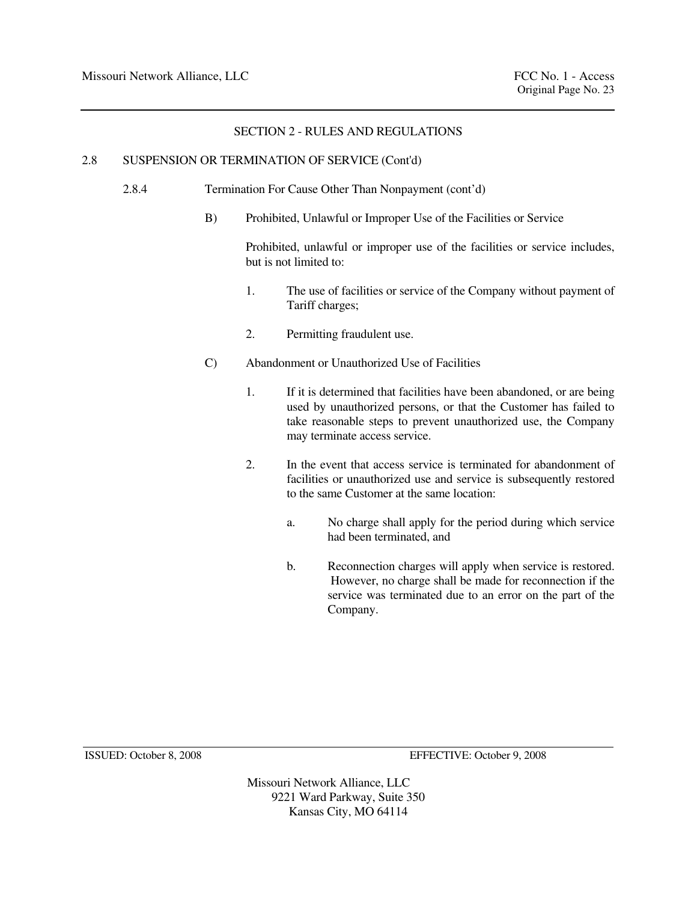# 2.8 SUSPENSION OR TERMINATION OF SERVICE (Cont'd)

- 2.8.4 Termination For Cause Other Than Nonpayment (cont'd)
	- B) Prohibited, Unlawful or Improper Use of the Facilities or Service

 Prohibited, unlawful or improper use of the facilities or service includes, but is not limited to:

- 1. The use of facilities or service of the Company without payment of Tariff charges;
- 2. Permitting fraudulent use.
- C) Abandonment or Unauthorized Use of Facilities
	- 1. If it is determined that facilities have been abandoned, or are being used by unauthorized persons, or that the Customer has failed to take reasonable steps to prevent unauthorized use, the Company may terminate access service.
	- 2. In the event that access service is terminated for abandonment of facilities or unauthorized use and service is subsequently restored to the same Customer at the same location:
		- a. No charge shall apply for the period during which service had been terminated, and
		- b. Reconnection charges will apply when service is restored. However, no charge shall be made for reconnection if the service was terminated due to an error on the part of the Company.

ISSUED: October 8, 2008 EFFECTIVE: October 9, 2008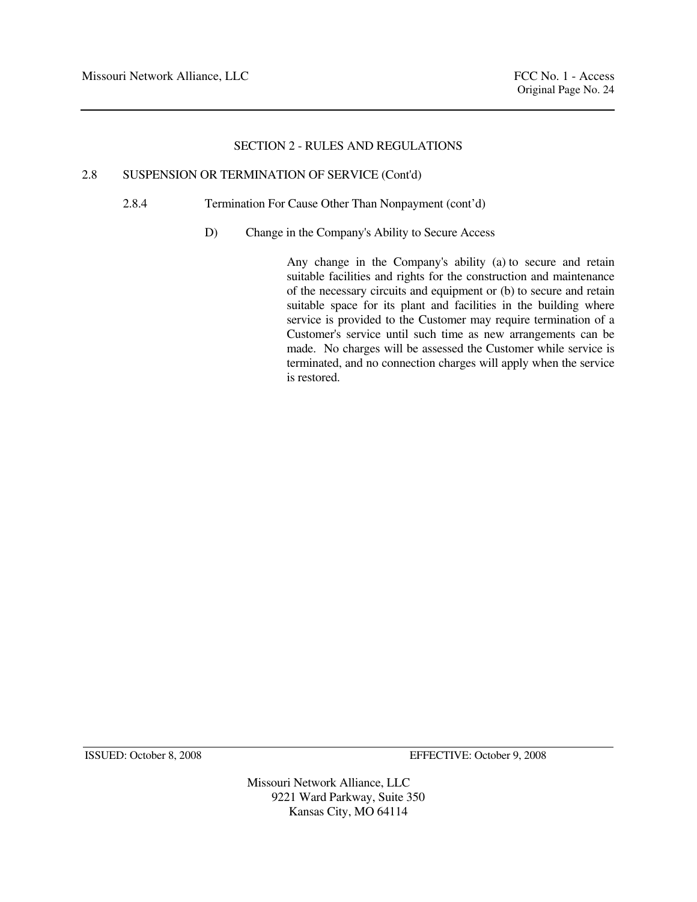# 2.8 SUSPENSION OR TERMINATION OF SERVICE (Cont'd)

2.8.4 Termination For Cause Other Than Nonpayment (cont'd)

D) Change in the Company's Ability to Secure Access

 Any change in the Company's ability (a) to secure and retain suitable facilities and rights for the construction and maintenance of the necessary circuits and equipment or (b) to secure and retain suitable space for its plant and facilities in the building where service is provided to the Customer may require termination of a Customer's service until such time as new arrangements can be made. No charges will be assessed the Customer while service is terminated, and no connection charges will apply when the service is restored.

ISSUED: October 8, 2008 EFFECTIVE: October 9, 2008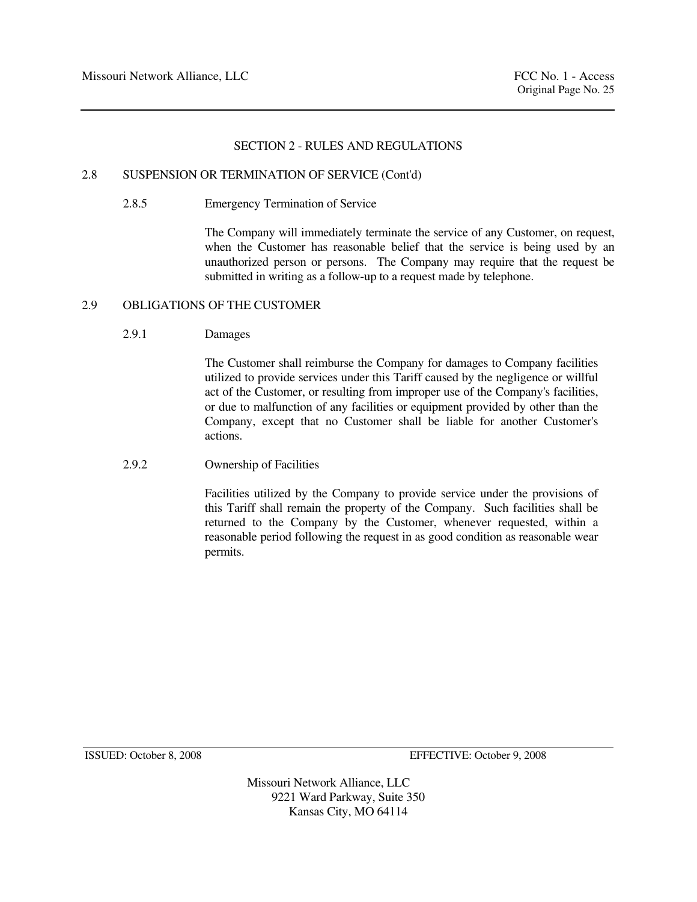#### 2.8 SUSPENSION OR TERMINATION OF SERVICE (Cont'd)

2.8.5 Emergency Termination of Service

 The Company will immediately terminate the service of any Customer, on request, when the Customer has reasonable belief that the service is being used by an unauthorized person or persons. The Company may require that the request be submitted in writing as a follow-up to a request made by telephone.

#### 2.9 OBLIGATIONS OF THE CUSTOMER

#### 2.9.1 Damages

 The Customer shall reimburse the Company for damages to Company facilities utilized to provide services under this Tariff caused by the negligence or willful act of the Customer, or resulting from improper use of the Company's facilities, or due to malfunction of any facilities or equipment provided by other than the Company, except that no Customer shall be liable for another Customer's actions.

# 2.9.2 Ownership of Facilities

 Facilities utilized by the Company to provide service under the provisions of this Tariff shall remain the property of the Company. Such facilities shall be returned to the Company by the Customer, whenever requested, within a reasonable period following the request in as good condition as reasonable wear permits.

ISSUED: October 8, 2008 EFFECTIVE: October 9, 2008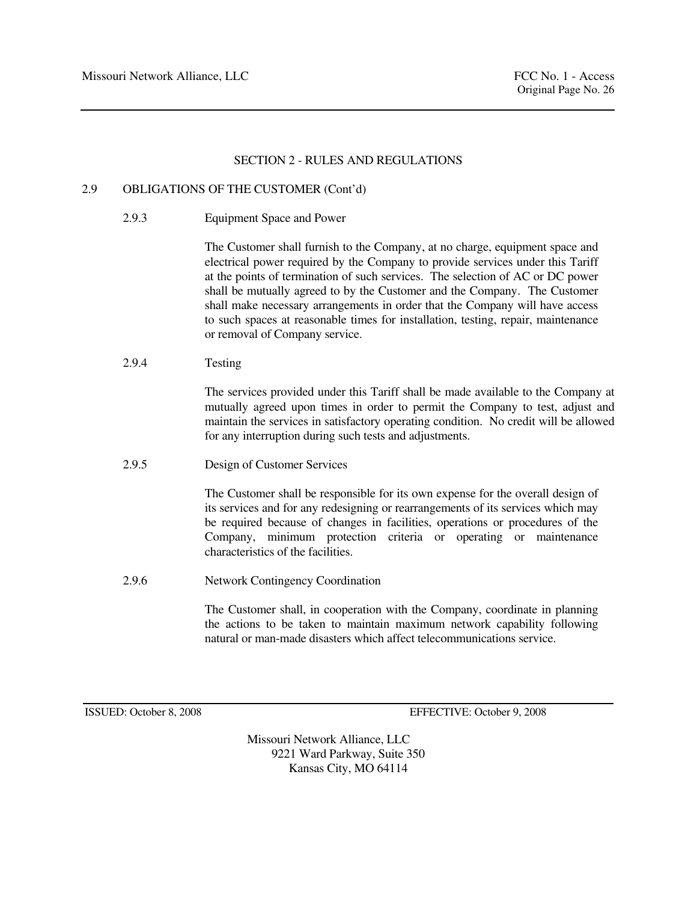# 2.9 OBLIGATIONS OF THE CUSTOMER (Cont'd)

2.9.3 Equipment Space and Power

 The Customer shall furnish to the Company, at no charge, equipment space and electrical power required by the Company to provide services under this Tariff at the points of termination of such services. The selection of AC or DC power shall be mutually agreed to by the Customer and the Company. The Customer shall make necessary arrangements in order that the Company will have access to such spaces at reasonable times for installation, testing, repair, maintenance or removal of Company service.

2.9.4 Testing

 The services provided under this Tariff shall be made available to the Company at mutually agreed upon times in order to permit the Company to test, adjust and maintain the services in satisfactory operating condition. No credit will be allowed for any interruption during such tests and adjustments.

2.9.5 Design of Customer Services

 The Customer shall be responsible for its own expense for the overall design of its services and for any redesigning or rearrangements of its services which may be required because of changes in facilities, operations or procedures of the Company, minimum protection criteria or operating or maintenance characteristics of the facilities.

2.9.6 Network Contingency Coordination

 The Customer shall, in cooperation with the Company, coordinate in planning the actions to be taken to maintain maximum network capability following natural or man-made disasters which affect telecommunications service.

ISSUED: October 8, 2008 EFFECTIVE: October 9, 2008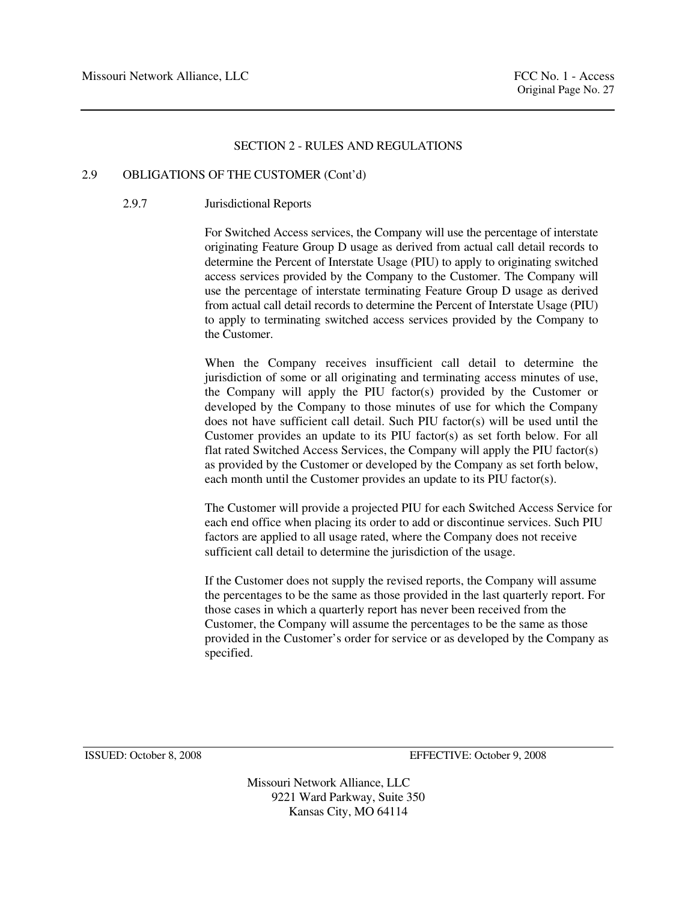# 2.9 OBLIGATIONS OF THE CUSTOMER (Cont'd)

# 2.9.7 Jurisdictional Reports

 For Switched Access services, the Company will use the percentage of interstate originating Feature Group D usage as derived from actual call detail records to determine the Percent of Interstate Usage (PIU) to apply to originating switched access services provided by the Company to the Customer. The Company will use the percentage of interstate terminating Feature Group D usage as derived from actual call detail records to determine the Percent of Interstate Usage (PIU) to apply to terminating switched access services provided by the Company to the Customer.

 When the Company receives insufficient call detail to determine the jurisdiction of some or all originating and terminating access minutes of use, the Company will apply the PIU factor(s) provided by the Customer or developed by the Company to those minutes of use for which the Company does not have sufficient call detail. Such PIU factor(s) will be used until the Customer provides an update to its PIU factor(s) as set forth below. For all flat rated Switched Access Services, the Company will apply the PIU factor(s) as provided by the Customer or developed by the Company as set forth below, each month until the Customer provides an update to its PIU factor(s).

The Customer will provide a projected PIU for each Switched Access Service for each end office when placing its order to add or discontinue services. Such PIU factors are applied to all usage rated, where the Company does not receive sufficient call detail to determine the jurisdiction of the usage.

If the Customer does not supply the revised reports, the Company will assume the percentages to be the same as those provided in the last quarterly report. For those cases in which a quarterly report has never been received from the Customer, the Company will assume the percentages to be the same as those provided in the Customer's order for service or as developed by the Company as specified.

ISSUED: October 8, 2008 EFFECTIVE: October 9, 2008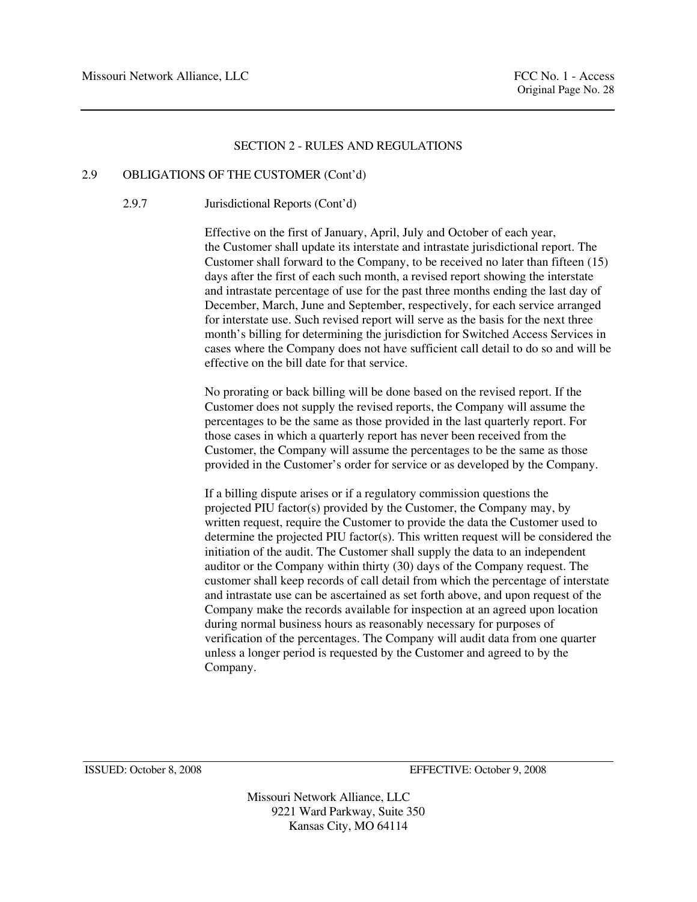#### 2.9 OBLIGATIONS OF THE CUSTOMER (Cont'd)

# 2.9.7 Jurisdictional Reports (Cont'd)

Effective on the first of January, April, July and October of each year, the Customer shall update its interstate and intrastate jurisdictional report. The Customer shall forward to the Company, to be received no later than fifteen (15) days after the first of each such month, a revised report showing the interstate and intrastate percentage of use for the past three months ending the last day of December, March, June and September, respectively, for each service arranged for interstate use. Such revised report will serve as the basis for the next three month's billing for determining the jurisdiction for Switched Access Services in cases where the Company does not have sufficient call detail to do so and will be effective on the bill date for that service.

No prorating or back billing will be done based on the revised report. If the Customer does not supply the revised reports, the Company will assume the percentages to be the same as those provided in the last quarterly report. For those cases in which a quarterly report has never been received from the Customer, the Company will assume the percentages to be the same as those provided in the Customer's order for service or as developed by the Company.

If a billing dispute arises or if a regulatory commission questions the projected PIU factor(s) provided by the Customer, the Company may, by written request, require the Customer to provide the data the Customer used to determine the projected PIU factor(s). This written request will be considered the initiation of the audit. The Customer shall supply the data to an independent auditor or the Company within thirty (30) days of the Company request. The customer shall keep records of call detail from which the percentage of interstate and intrastate use can be ascertained as set forth above, and upon request of the Company make the records available for inspection at an agreed upon location during normal business hours as reasonably necessary for purposes of verification of the percentages. The Company will audit data from one quarter unless a longer period is requested by the Customer and agreed to by the Company.

ISSUED: October 8, 2008 EFFECTIVE: October 9, 2008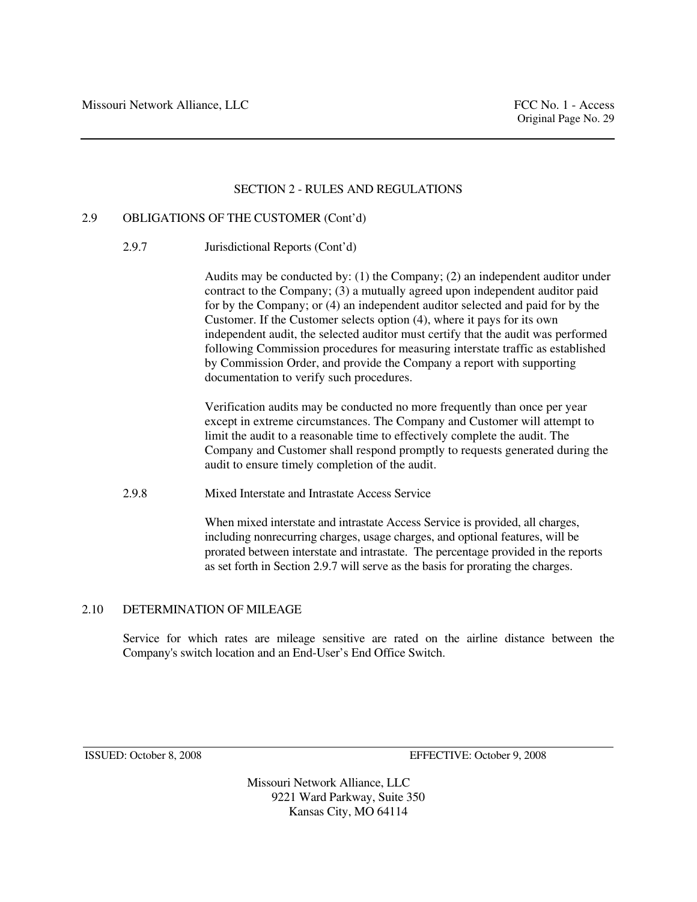#### 2.9 OBLIGATIONS OF THE CUSTOMER (Cont'd)

2.9.7 Jurisdictional Reports (Cont'd)

Audits may be conducted by: (1) the Company; (2) an independent auditor under contract to the Company; (3) a mutually agreed upon independent auditor paid for by the Company; or (4) an independent auditor selected and paid for by the Customer. If the Customer selects option (4), where it pays for its own independent audit, the selected auditor must certify that the audit was performed following Commission procedures for measuring interstate traffic as established by Commission Order, and provide the Company a report with supporting documentation to verify such procedures.

Verification audits may be conducted no more frequently than once per year except in extreme circumstances. The Company and Customer will attempt to limit the audit to a reasonable time to effectively complete the audit. The Company and Customer shall respond promptly to requests generated during the audit to ensure timely completion of the audit.

2.9.8 Mixed Interstate and Intrastate Access Service

 When mixed interstate and intrastate Access Service is provided, all charges, including nonrecurring charges, usage charges, and optional features, will be prorated between interstate and intrastate. The percentage provided in the reports as set forth in Section 2.9.7 will serve as the basis for prorating the charges.

# 2.10 DETERMINATION OF MILEAGE

 Service for which rates are mileage sensitive are rated on the airline distance between the Company's switch location and an End-User's End Office Switch.

ISSUED: October 8, 2008 EFFECTIVE: October 9, 2008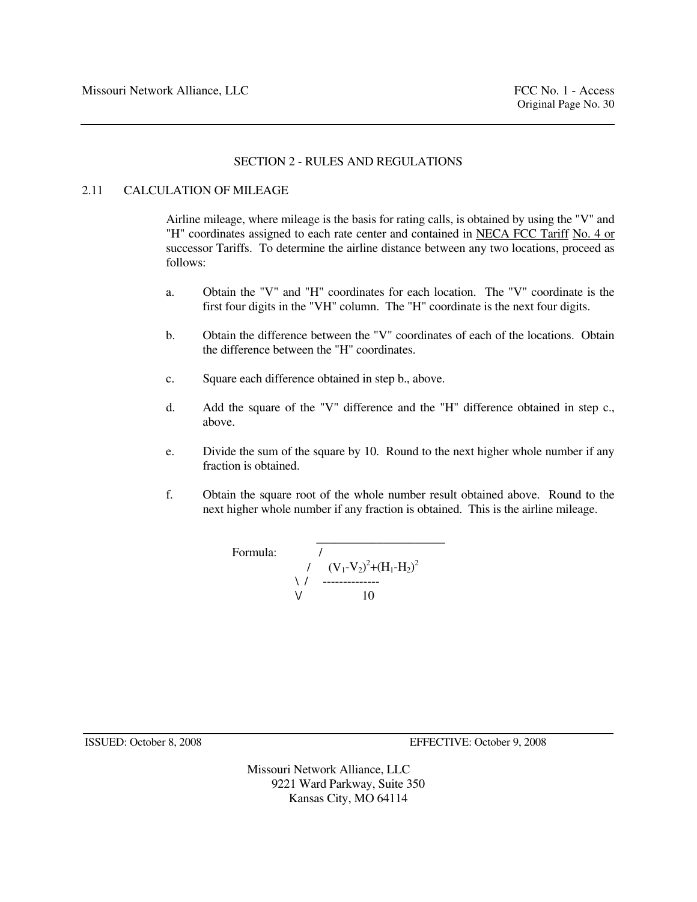# 2.11 CALCULATION OF MILEAGE

 Airline mileage, where mileage is the basis for rating calls, is obtained by using the "V" and "H" coordinates assigned to each rate center and contained in NECA FCC Tariff No. 4 or successor Tariffs. To determine the airline distance between any two locations, proceed as follows:

- a. Obtain the "V" and "H" coordinates for each location. The "V" coordinate is the first four digits in the "VH" column. The "H" coordinate is the next four digits.
- b. Obtain the difference between the "V" coordinates of each of the locations. Obtain the difference between the "H" coordinates.
- c. Square each difference obtained in step b., above.
- d. Add the square of the "V" difference and the "H" difference obtained in step c., above.
- e. Divide the sum of the square by 10. Round to the next higher whole number if any fraction is obtained.
- f. Obtain the square root of the whole number result obtained above. Round to the next higher whole number if any fraction is obtained. This is the airline mileage.

Formula: 
$$
\begin{array}{c}\n7 \\
1 \\
1 \\
\sqrt{(\frac{V_1 - V_2)^2 + (H_1 - H_2)^2}{10}} \\
\end{array}
$$

ISSUED: October 8, 2008 EFFECTIVE: October 9, 2008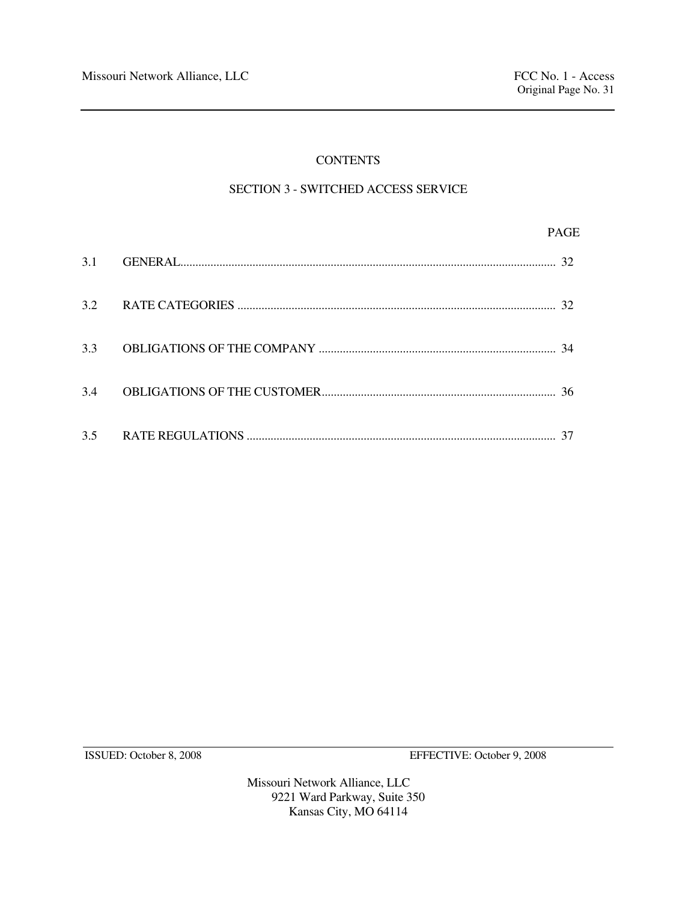# **CONTENTS**

# SECTION 3 - SWITCHED ACCESS SERVICE

|     | <b>PAGE</b> |
|-----|-------------|
|     |             |
|     |             |
|     |             |
| 3.4 |             |
|     |             |

ISSUED: October 8, 2008 EFFECTIVE: October 9, 2008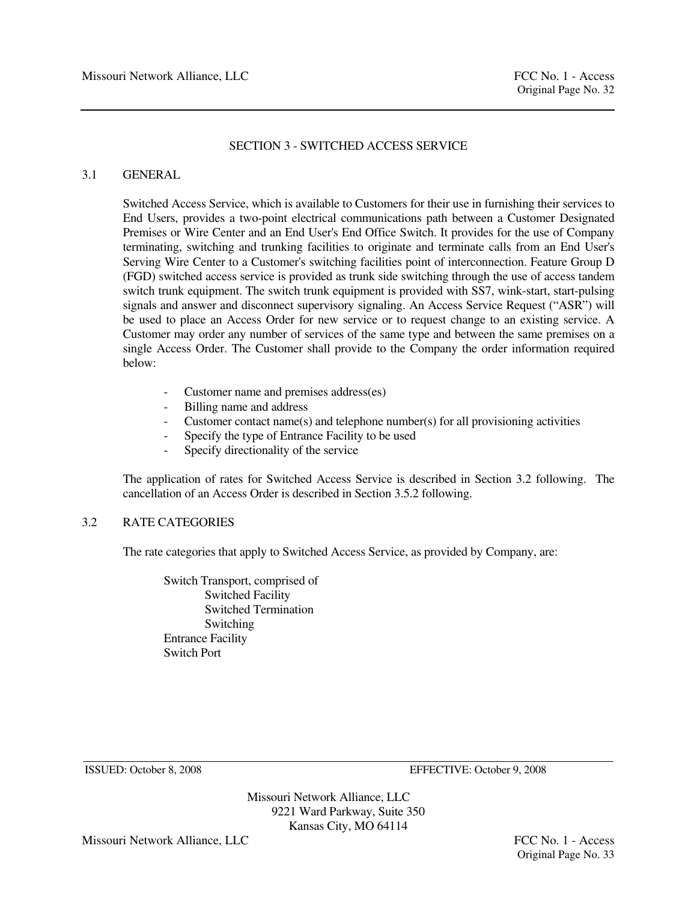# 3.1 GENERAL

 Switched Access Service, which is available to Customers for their use in furnishing their services to End Users, provides a two-point electrical communications path between a Customer Designated Premises or Wire Center and an End User's End Office Switch. It provides for the use of Company terminating, switching and trunking facilities to originate and terminate calls from an End User's Serving Wire Center to a Customer's switching facilities point of interconnection. Feature Group D (FGD) switched access service is provided as trunk side switching through the use of access tandem switch trunk equipment. The switch trunk equipment is provided with SS7, wink-start, start-pulsing signals and answer and disconnect supervisory signaling. An Access Service Request ("ASR") will be used to place an Access Order for new service or to request change to an existing service. A Customer may order any number of services of the same type and between the same premises on a single Access Order. The Customer shall provide to the Company the order information required below:

- Customer name and premises address(es)
- Billing name and address
- Customer contact name(s) and telephone number(s) for all provisioning activities
- Specify the type of Entrance Facility to be used
- Specify directionality of the service

 The application of rates for Switched Access Service is described in Section 3.2 following. The cancellation of an Access Order is described in Section 3.5.2 following.

# 3.2 RATE CATEGORIES

The rate categories that apply to Switched Access Service, as provided by Company, are:

 Switch Transport, comprised of Switched Facility Switched Termination Switching Entrance Facility Switch Port

ISSUED: October 8, 2008 EFFECTIVE: October 9, 2008

Missouri Network Alliance, LLC 9221 Ward Parkway, Suite 350 Kansas City, MO 64114

Missouri Network Alliance, LLC **FCC No. 1 - Access**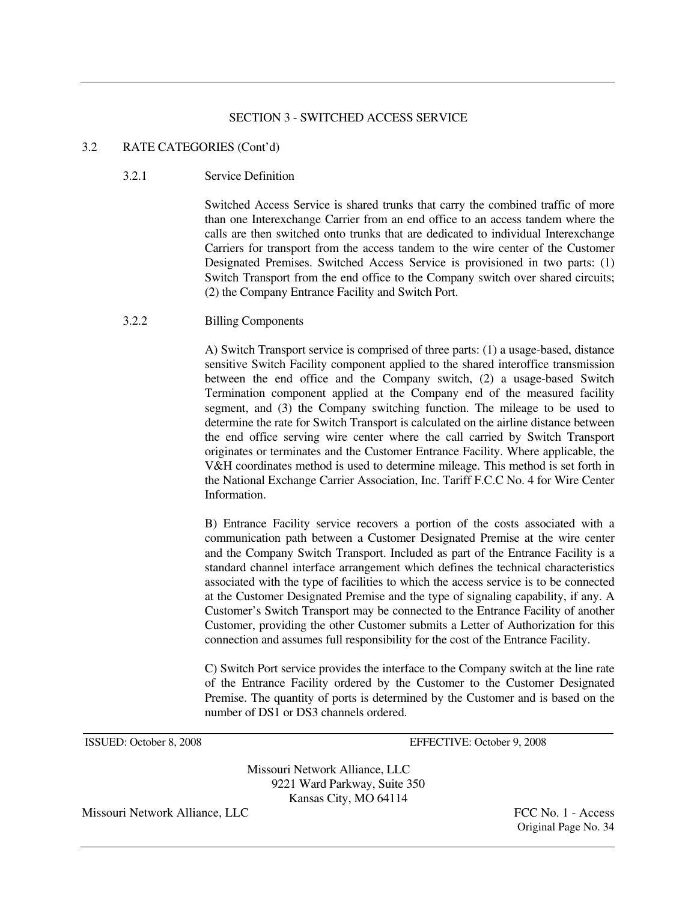# 3.2 RATE CATEGORIES (Cont'd)

# 3.2.1 Service Definition

 Switched Access Service is shared trunks that carry the combined traffic of more than one Interexchange Carrier from an end office to an access tandem where the calls are then switched onto trunks that are dedicated to individual Interexchange Carriers for transport from the access tandem to the wire center of the Customer Designated Premises. Switched Access Service is provisioned in two parts: (1) Switch Transport from the end office to the Company switch over shared circuits; (2) the Company Entrance Facility and Switch Port.

# 3.2.2 Billing Components

 A) Switch Transport service is comprised of three parts: (1) a usage-based, distance sensitive Switch Facility component applied to the shared interoffice transmission between the end office and the Company switch, (2) a usage-based Switch Termination component applied at the Company end of the measured facility segment, and (3) the Company switching function. The mileage to be used to determine the rate for Switch Transport is calculated on the airline distance between the end office serving wire center where the call carried by Switch Transport originates or terminates and the Customer Entrance Facility. Where applicable, the V&H coordinates method is used to determine mileage. This method is set forth in the National Exchange Carrier Association, Inc. Tariff F.C.C No. 4 for Wire Center Information.

B) Entrance Facility service recovers a portion of the costs associated with a communication path between a Customer Designated Premise at the wire center and the Company Switch Transport. Included as part of the Entrance Facility is a standard channel interface arrangement which defines the technical characteristics associated with the type of facilities to which the access service is to be connected at the Customer Designated Premise and the type of signaling capability, if any. A Customer's Switch Transport may be connected to the Entrance Facility of another Customer, providing the other Customer submits a Letter of Authorization for this connection and assumes full responsibility for the cost of the Entrance Facility.

 C) Switch Port service provides the interface to the Company switch at the line rate of the Entrance Facility ordered by the Customer to the Customer Designated Premise. The quantity of ports is determined by the Customer and is based on the number of DS1 or DS3 channels ordered.

ISSUED: October 8, 2008 EFFECTIVE: October 9, 2008

Missouri Network Alliance, LLC 9221 Ward Parkway, Suite 350 Kansas City, MO 64114

Missouri Network Alliance, LLC FCC No. 1 - Access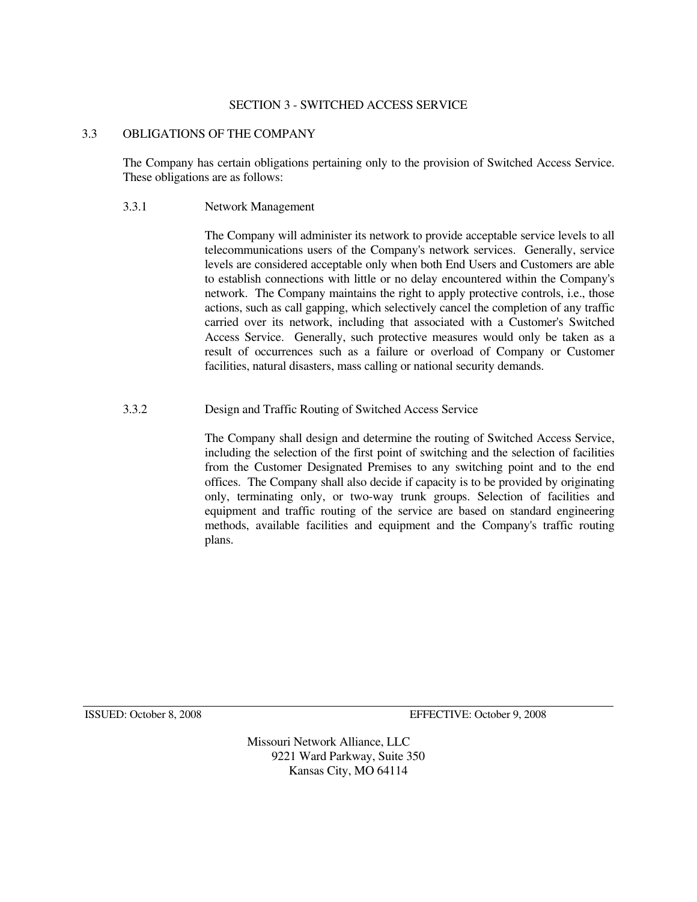# 3.3 OBLIGATIONS OF THE COMPANY

 The Company has certain obligations pertaining only to the provision of Switched Access Service. These obligations are as follows:

# 3.3.1 Network Management

 The Company will administer its network to provide acceptable service levels to all telecommunications users of the Company's network services. Generally, service levels are considered acceptable only when both End Users and Customers are able to establish connections with little or no delay encountered within the Company's network. The Company maintains the right to apply protective controls, i.e., those actions, such as call gapping, which selectively cancel the completion of any traffic carried over its network, including that associated with a Customer's Switched Access Service. Generally, such protective measures would only be taken as a result of occurrences such as a failure or overload of Company or Customer facilities, natural disasters, mass calling or national security demands.

# 3.3.2 Design and Traffic Routing of Switched Access Service

 The Company shall design and determine the routing of Switched Access Service, including the selection of the first point of switching and the selection of facilities from the Customer Designated Premises to any switching point and to the end offices. The Company shall also decide if capacity is to be provided by originating only, terminating only, or two-way trunk groups. Selection of facilities and equipment and traffic routing of the service are based on standard engineering methods, available facilities and equipment and the Company's traffic routing plans.

ISSUED: October 8, 2008 EFFECTIVE: October 9, 2008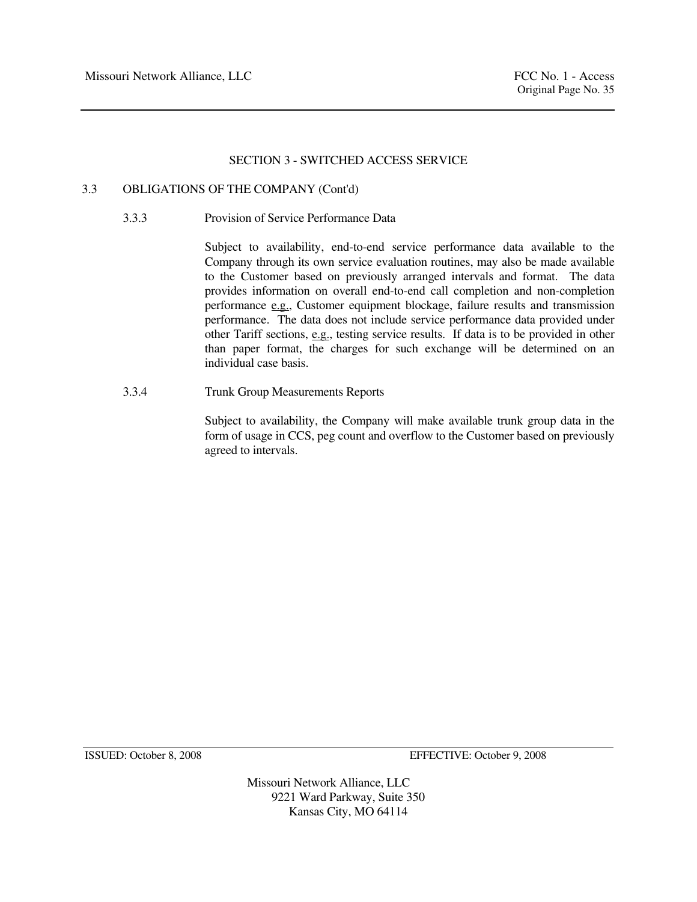# 3.3 OBLIGATIONS OF THE COMPANY (Cont'd)

3.3.3 Provision of Service Performance Data

 Subject to availability, end-to-end service performance data available to the Company through its own service evaluation routines, may also be made available to the Customer based on previously arranged intervals and format. The data provides information on overall end-to-end call completion and non-completion performance e.g., Customer equipment blockage, failure results and transmission performance. The data does not include service performance data provided under other Tariff sections, e.g., testing service results. If data is to be provided in other than paper format, the charges for such exchange will be determined on an individual case basis.

3.3.4 Trunk Group Measurements Reports

 Subject to availability, the Company will make available trunk group data in the form of usage in CCS, peg count and overflow to the Customer based on previously agreed to intervals.

ISSUED: October 8, 2008 EFFECTIVE: October 9, 2008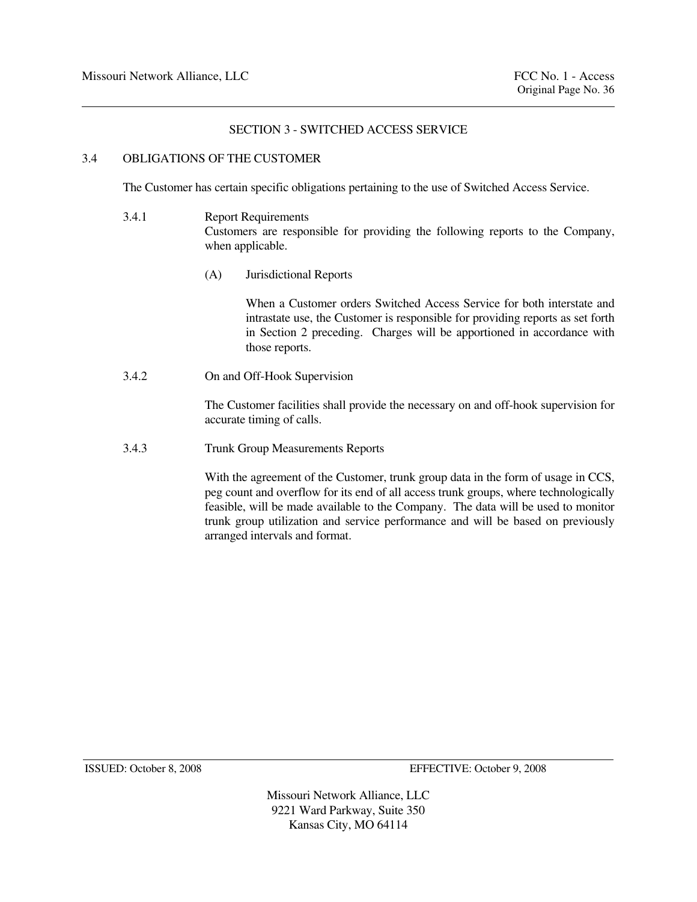# 3.4 OBLIGATIONS OF THE CUSTOMER

The Customer has certain specific obligations pertaining to the use of Switched Access Service.

- 3.4.1 Report Requirements Customers are responsible for providing the following reports to the Company, when applicable.
	- (A) Jurisdictional Reports

 When a Customer orders Switched Access Service for both interstate and intrastate use, the Customer is responsible for providing reports as set forth in Section 2 preceding. Charges will be apportioned in accordance with those reports.

3.4.2 On and Off-Hook Supervision

 The Customer facilities shall provide the necessary on and off-hook supervision for accurate timing of calls.

3.4.3 Trunk Group Measurements Reports

 With the agreement of the Customer, trunk group data in the form of usage in CCS, peg count and overflow for its end of all access trunk groups, where technologically feasible, will be made available to the Company. The data will be used to monitor trunk group utilization and service performance and will be based on previously arranged intervals and format.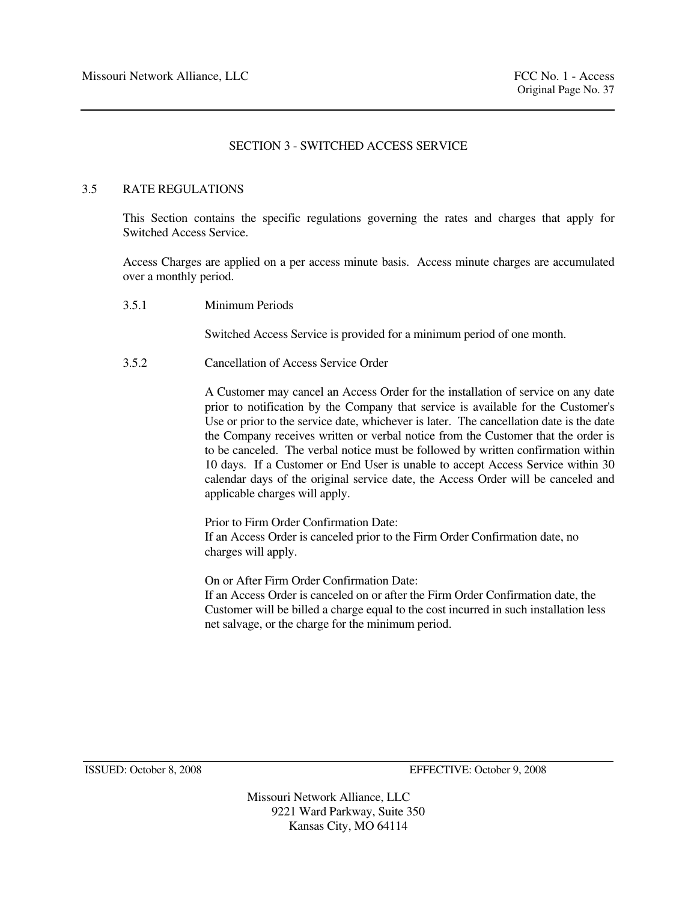# 3.5 RATE REGULATIONS

 This Section contains the specific regulations governing the rates and charges that apply for Switched Access Service.

 Access Charges are applied on a per access minute basis. Access minute charges are accumulated over a monthly period.

3.5.1 Minimum Periods

Switched Access Service is provided for a minimum period of one month.

3.5.2 Cancellation of Access Service Order

 A Customer may cancel an Access Order for the installation of service on any date prior to notification by the Company that service is available for the Customer's Use or prior to the service date, whichever is later. The cancellation date is the date the Company receives written or verbal notice from the Customer that the order is to be canceled. The verbal notice must be followed by written confirmation within 10 days. If a Customer or End User is unable to accept Access Service within 30 calendar days of the original service date, the Access Order will be canceled and applicable charges will apply.

 Prior to Firm Order Confirmation Date: If an Access Order is canceled prior to the Firm Order Confirmation date, no charges will apply.

 On or After Firm Order Confirmation Date: If an Access Order is canceled on or after the Firm Order Confirmation date, the Customer will be billed a charge equal to the cost incurred in such installation less net salvage, or the charge for the minimum period.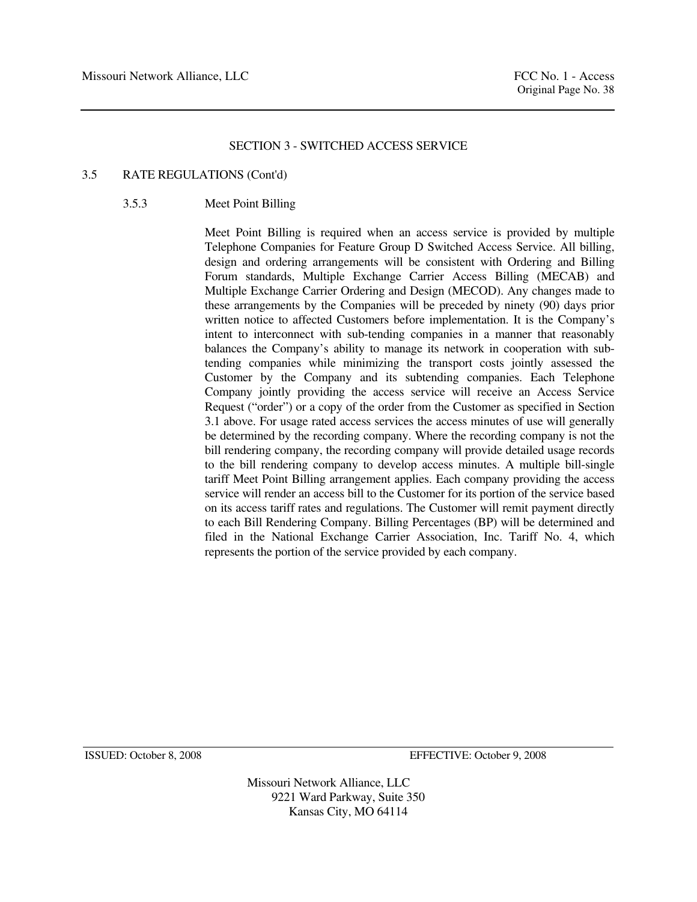# 3.5 RATE REGULATIONS (Cont'd)

# 3.5.3 Meet Point Billing

Meet Point Billing is required when an access service is provided by multiple Telephone Companies for Feature Group D Switched Access Service. All billing, design and ordering arrangements will be consistent with Ordering and Billing Forum standards, Multiple Exchange Carrier Access Billing (MECAB) and Multiple Exchange Carrier Ordering and Design (MECOD). Any changes made to these arrangements by the Companies will be preceded by ninety (90) days prior written notice to affected Customers before implementation. It is the Company's intent to interconnect with sub-tending companies in a manner that reasonably balances the Company's ability to manage its network in cooperation with subtending companies while minimizing the transport costs jointly assessed the Customer by the Company and its subtending companies. Each Telephone Company jointly providing the access service will receive an Access Service Request ("order") or a copy of the order from the Customer as specified in Section 3.1 above. For usage rated access services the access minutes of use will generally be determined by the recording company. Where the recording company is not the bill rendering company, the recording company will provide detailed usage records to the bill rendering company to develop access minutes. A multiple bill-single tariff Meet Point Billing arrangement applies. Each company providing the access service will render an access bill to the Customer for its portion of the service based on its access tariff rates and regulations. The Customer will remit payment directly to each Bill Rendering Company. Billing Percentages (BP) will be determined and filed in the National Exchange Carrier Association, Inc. Tariff No. 4, which represents the portion of the service provided by each company.

ISSUED: October 8, 2008 EFFECTIVE: October 9, 2008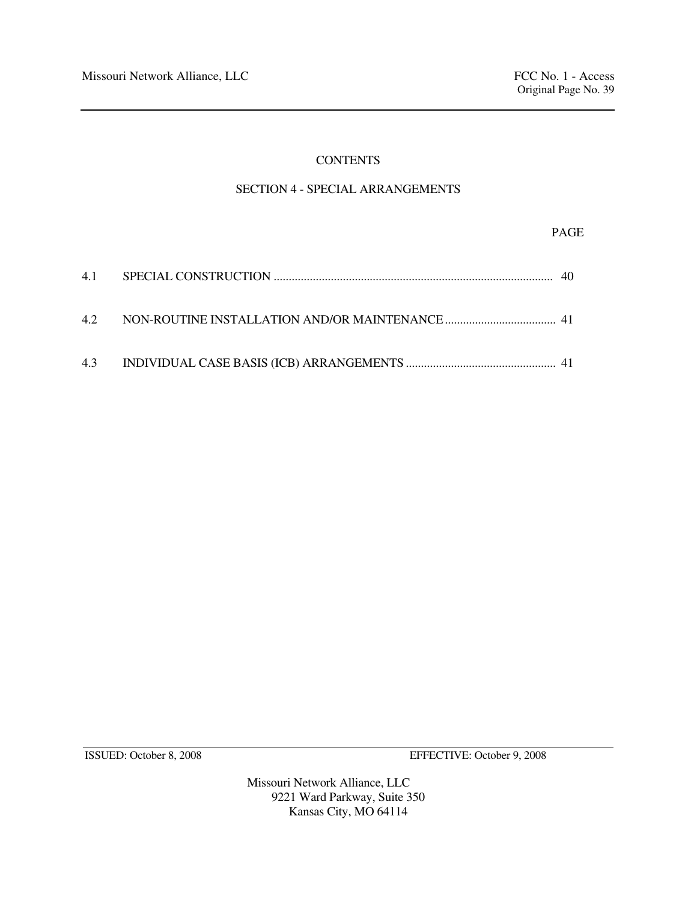# **CONTENTS**

# SECTION 4 - SPECIAL ARRANGEMENTS

# PAGE

ISSUED: October 8, 2008 EFFECTIVE: October 9, 2008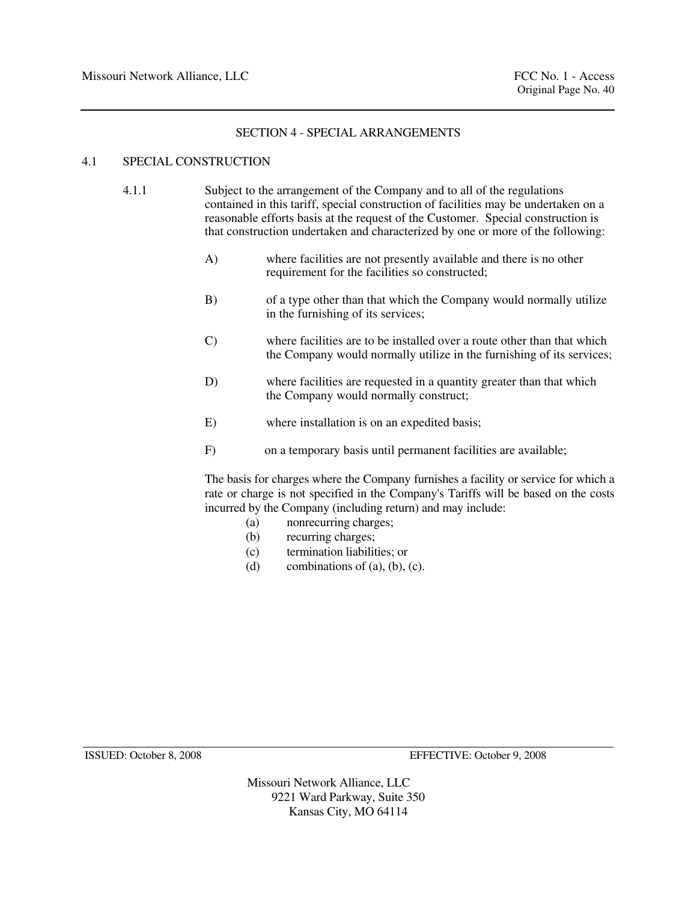# SECTION 4 - SPECIAL ARRANGEMENTS

# 4.1 SPECIAL CONSTRUCTION

- 4.1.1 Subject to the arrangement of the Company and to all of the regulations contained in this tariff, special construction of facilities may be undertaken on a reasonable efforts basis at the request of the Customer. Special construction is that construction undertaken and characterized by one or more of the following:
	- A) where facilities are not presently available and there is no other requirement for the facilities so constructed;
	- B) of a type other than that which the Company would normally utilize in the furnishing of its services;
	- C) where facilities are to be installed over a route other than that which the Company would normally utilize in the furnishing of its services;
	- D) where facilities are requested in a quantity greater than that which the Company would normally construct;
	- E) where installation is on an expedited basis;
	- F) on a temporary basis until permanent facilities are available;

 The basis for charges where the Company furnishes a facility or service for which a rate or charge is not specified in the Company's Tariffs will be based on the costs incurred by the Company (including return) and may include:

- (a) nonrecurring charges;
- (b) recurring charges;
- (c) termination liabilities; or
- (d) combinations of  $(a)$ ,  $(b)$ ,  $(c)$ ,

ISSUED: October 8, 2008 EFFECTIVE: October 9, 2008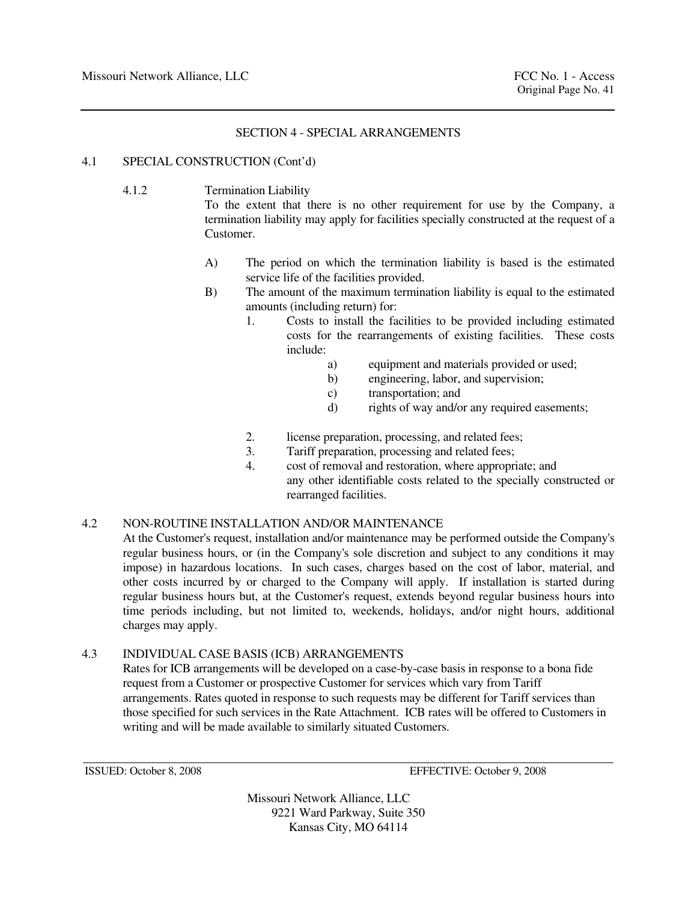# SECTION 4 - SPECIAL ARRANGEMENTS

# 4.1 SPECIAL CONSTRUCTION (Cont'd)

4.1.2 Termination Liability

 To the extent that there is no other requirement for use by the Company, a termination liability may apply for facilities specially constructed at the request of a Customer.

- A) The period on which the termination liability is based is the estimated service life of the facilities provided.
- B) The amount of the maximum termination liability is equal to the estimated amounts (including return) for:
	- 1. Costs to install the facilities to be provided including estimated costs for the rearrangements of existing facilities. These costs include:
		- a) equipment and materials provided or used;
		- b) engineering, labor, and supervision;
		- c) transportation; and
		- d) rights of way and/or any required easements;
	- 2. license preparation, processing, and related fees;
	- 3. Tariff preparation, processing and related fees;
	- 4. cost of removal and restoration, where appropriate; and any other identifiable costs related to the specially constructed or rearranged facilities.

# 4.2 NON-ROUTINE INSTALLATION AND/OR MAINTENANCE

 At the Customer's request, installation and/or maintenance may be performed outside the Company's regular business hours, or (in the Company's sole discretion and subject to any conditions it may impose) in hazardous locations. In such cases, charges based on the cost of labor, material, and other costs incurred by or charged to the Company will apply. If installation is started during regular business hours but, at the Customer's request, extends beyond regular business hours into time periods including, but not limited to, weekends, holidays, and/or night hours, additional charges may apply.

# 4.3 INDIVIDUAL CASE BASIS (ICB) ARRANGEMENTS

 Rates for ICB arrangements will be developed on a case-by-case basis in response to a bona fide request from a Customer or prospective Customer for services which vary from Tariff arrangements. Rates quoted in response to such requests may be different for Tariff services than those specified for such services in the Rate Attachment. ICB rates will be offered to Customers in writing and will be made available to similarly situated Customers.

ISSUED: October 8, 2008 EFFECTIVE: October 9, 2008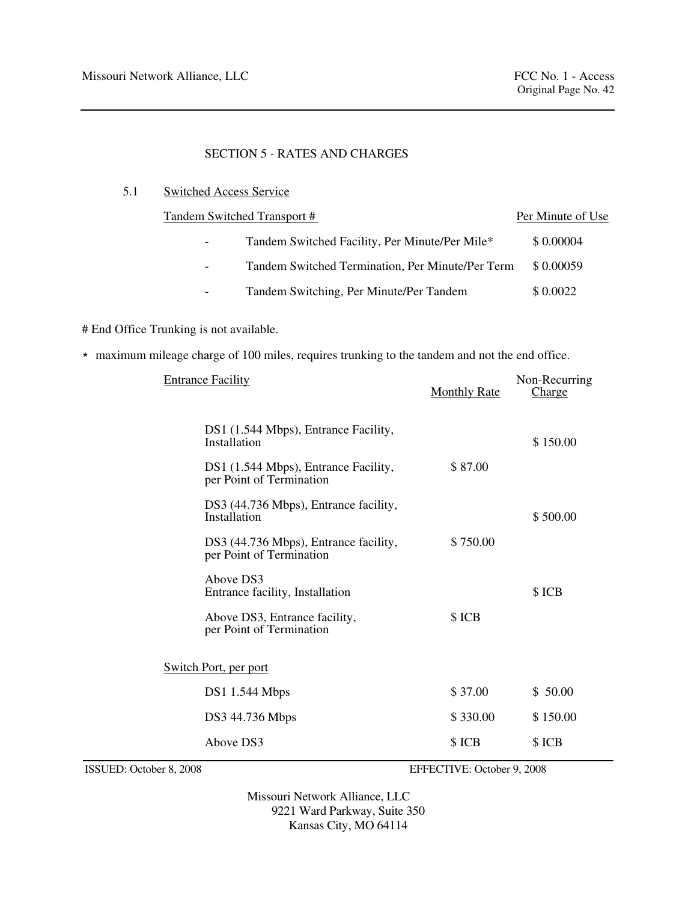# 5.1 Switched Access Service

|                          | Tandem Switched Transport #                      | Per Minute of Use |
|--------------------------|--------------------------------------------------|-------------------|
| $\overline{\phantom{a}}$ | Tandem Switched Facility, Per Minute/Per Mile*   | \$0.00004         |
| $\overline{\phantom{a}}$ | Tandem Switched Termination, Per Minute/Per Term | \$0.00059         |
|                          | Tandem Switching, Per Minute/Per Tandem          | \$0.0022          |

# End Office Trunking is not available.

\* maximum mileage charge of 100 miles, requires trunking to the tandem and not the end office.

| <b>Entrance Facility</b>                                          | <b>Monthly Rate</b> | Non-Recurring<br><b>Charge</b> |
|-------------------------------------------------------------------|---------------------|--------------------------------|
| DS1 (1.544 Mbps), Entrance Facility,<br>Installation              |                     | \$150.00                       |
| DS1 (1.544 Mbps), Entrance Facility,<br>per Point of Termination  | \$87.00             |                                |
| DS3 (44.736 Mbps), Entrance facility,<br>Installation             |                     | \$500.00                       |
| DS3 (44.736 Mbps), Entrance facility,<br>per Point of Termination | \$750.00            |                                |
| Above DS3<br>Entrance facility, Installation                      |                     | \$ICB                          |
| Above DS3, Entrance facility,<br>per Point of Termination         | \$ICB               |                                |
| <b>Switch Port, per port</b>                                      |                     |                                |
| <b>DS1 1.544 Mbps</b>                                             | \$37.00             | \$50.00                        |
| DS3 44.736 Mbps                                                   | \$330.00            | \$150.00                       |
| Above DS3                                                         | \$ICB               | \$ ICB                         |
|                                                                   |                     |                                |

ISSUED: October 8, 2008 EFFECTIVE: October 9, 2008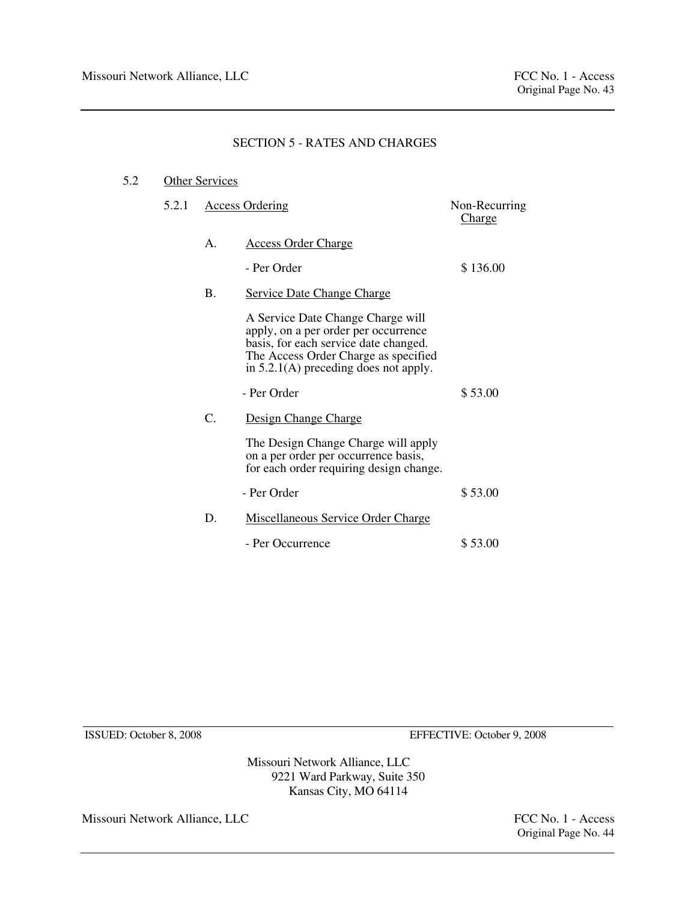# 5.2 Other Services

| 5.2.1 |           | <b>Access Ordering</b>                                                                                                                                                                                | Non-Recurring<br><b>Charge</b> |
|-------|-----------|-------------------------------------------------------------------------------------------------------------------------------------------------------------------------------------------------------|--------------------------------|
|       | Α.        | <b>Access Order Charge</b>                                                                                                                                                                            |                                |
|       |           | - Per Order                                                                                                                                                                                           | \$136.00                       |
|       | <b>B.</b> | <b>Service Date Change Charge</b>                                                                                                                                                                     |                                |
|       |           | A Service Date Change Charge will<br>apply, on a per order per occurrence<br>basis, for each service date changed.<br>The Access Order Charge as specified<br>in $5.2.1(A)$ preceding does not apply. |                                |
|       |           | - Per Order                                                                                                                                                                                           | \$53.00                        |
|       | C.        | Design Change Charge                                                                                                                                                                                  |                                |
|       |           | The Design Change Charge will apply<br>on a per order per occurrence basis,<br>for each order requiring design change.                                                                                |                                |
|       |           | - Per Order                                                                                                                                                                                           | \$53.00                        |
|       | D.        | <b>Miscellaneous Service Order Charge</b>                                                                                                                                                             |                                |
|       |           | - Per Occurrence                                                                                                                                                                                      | \$53.00                        |

ISSUED: October 8, 2008 EFFECTIVE: October 9, 2008

Missouri Network Alliance, LLC 9221 Ward Parkway, Suite 350 Kansas City, MO 64114

Missouri Network Alliance, LLC FCC No. 1 - Access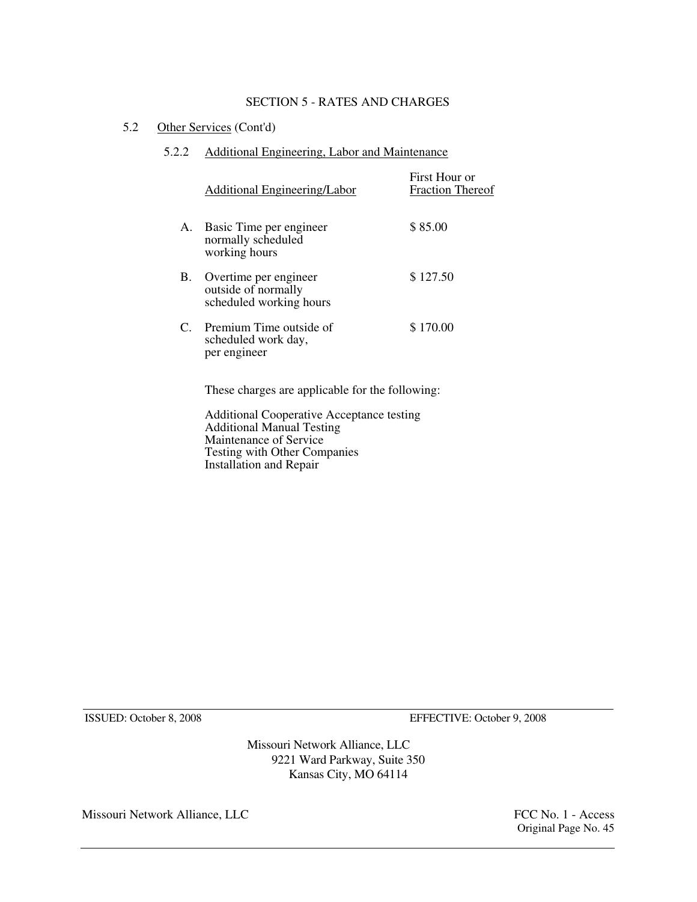5.2 Other Services (Cont'd)

# 5.2.2 Additional Engineering, Labor and Maintenance

|    | Additional Engineering/Labor                                            | First Hour or<br><b>Fraction Thereof</b> |
|----|-------------------------------------------------------------------------|------------------------------------------|
|    | A. Basic Time per engineer<br>normally scheduled<br>working hours       | \$85.00                                  |
| B. | Overtime per engineer<br>outside of normally<br>scheduled working hours | \$127.50                                 |
|    | C. Premium Time outside of<br>scheduled work day,<br>per engineer       | \$170.00                                 |
|    | These charges are applicable for the following:                         |                                          |

 Additional Cooperative Acceptance testing Additional Manual Testing Maintenance of Service Testing with Other Companies Installation and Repair

ISSUED: October 8, 2008 EFFECTIVE: October 9, 2008

Missouri Network Alliance, LLC 9221 Ward Parkway, Suite 350 Kansas City, MO 64114

Missouri Network Alliance, LLC FCC No. 1 - Access